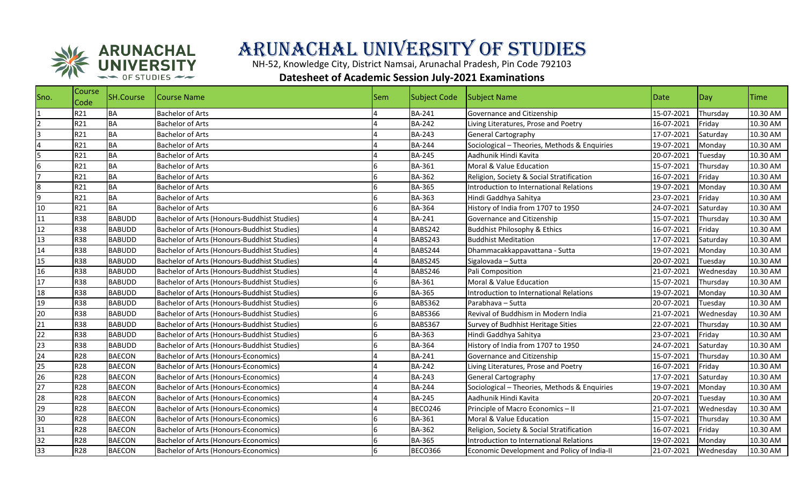

## Arunachal University of Studies

NH-52, Knowledge City, District Namsai, Arunachal Pradesh, Pin Code 792103

## **Datesheet of Academic Session July-2021 Examinations**

| Sno.            | Course<br><b>Code</b> | SH.Course     | <b>Course Name</b>                          | <b>Sem</b>     | Subject Code   | Subject Name                                 | Date       | Day       | <b>Time</b> |
|-----------------|-----------------------|---------------|---------------------------------------------|----------------|----------------|----------------------------------------------|------------|-----------|-------------|
|                 | R21                   | BA            | <b>Bachelor of Arts</b>                     |                | <b>BA-241</b>  | Governance and Citizenship                   | 15-07-2021 | Thursday  | 10.30 AM    |
|                 | R21                   | <b>BA</b>     | <b>Bachelor of Arts</b>                     |                | <b>BA-242</b>  | Living Literatures, Prose and Poetry         | 16-07-2021 | Friday    | 10.30 AM    |
| 3               | R21                   | <b>BA</b>     | <b>Bachelor of Arts</b>                     |                | <b>BA-243</b>  | <b>General Cartography</b>                   | 17-07-2021 | Saturday  | 10.30 AM    |
|                 | R21                   | <b>BA</b>     | <b>Bachelor of Arts</b>                     |                | <b>BA-244</b>  | Sociological - Theories, Methods & Enquiries | 19-07-2021 | Monday    | 10.30 AM    |
|                 | R21                   | <b>BA</b>     | <b>Bachelor of Arts</b>                     |                | <b>BA-245</b>  | Aadhunik Hindi Kavita                        | 20-07-2021 | Tuesday   | 10.30 AM    |
| 6               | R21                   | <b>BA</b>     | <b>Bachelor of Arts</b>                     | 6              | <b>BA-361</b>  | Moral & Value Education                      | 15-07-2021 | Thursday  | 10.30 AM    |
|                 | R21                   | <b>BA</b>     | <b>Bachelor of Arts</b>                     | 6              | <b>BA-362</b>  | Religion, Society & Social Stratification    | 16-07-2021 | Friday    | 10.30 AM    |
| 8               | R21                   | <b>BA</b>     | <b>Bachelor of Arts</b>                     | 16             | <b>BA-365</b>  | Introduction to International Relations      | 19-07-2021 | Monday    | 10.30 AM    |
| 9               | R21                   | <b>BA</b>     | <b>Bachelor of Arts</b>                     | 6              | <b>BA-363</b>  | Hindi Gaddhya Sahitya                        | 23-07-2021 | Friday    | 10.30 AM    |
| 10              | R21                   | <b>BA</b>     | <b>Bachelor of Arts</b>                     | 6              | <b>BA-364</b>  | History of India from 1707 to 1950           | 24-07-2021 | Saturday  | 10.30 AM    |
| 11              | <b>R38</b>            | <b>BABUDD</b> | Bachelor of Arts (Honours-Buddhist Studies) |                | <b>BA-241</b>  | Governance and Citizenship                   | 15-07-2021 | Thursday  | 10.30 AM    |
| 12              | <b>R38</b>            | <b>BABUDD</b> | Bachelor of Arts (Honours-Buddhist Studies) |                | BABS242        | <b>Buddhist Philosophy &amp; Ethics</b>      | 16-07-2021 | Friday    | 10.30 AM    |
| 13              | <b>R38</b>            | <b>BABUDD</b> | Bachelor of Arts (Honours-Buddhist Studies) |                | BABS243        | <b>Buddhist Meditation</b>                   | 17-07-2021 | Saturday  | 10.30 AM    |
| 14              | <b>R38</b>            | <b>BABUDD</b> | Bachelor of Arts (Honours-Buddhist Studies) |                | BABS244        | Dhammacakkappavattana - Sutta                | 19-07-2021 | Monday    | 10.30 AM    |
| 15              | <b>R38</b>            | <b>BABUDD</b> | Bachelor of Arts (Honours-Buddhist Studies) |                | BABS245        | Sigalovada - Sutta                           | 20-07-2021 | Tuesday   | 10.30 AM    |
| 16              | <b>R38</b>            | <b>BABUDD</b> | Bachelor of Arts (Honours-Buddhist Studies) |                | BABS246        | Pali Composition                             | 21-07-2021 | Wednesday | 10.30 AM    |
| 17              | <b>R38</b>            | <b>BABUDD</b> | Bachelor of Arts (Honours-Buddhist Studies) | 6              | BA-361         | Moral & Value Education                      | 15-07-2021 | Thursday  | 10.30 AM    |
| 18              | <b>R38</b>            | <b>BABUDD</b> | Bachelor of Arts (Honours-Buddhist Studies) | 6              | <b>BA-365</b>  | Introduction to International Relations      | 19-07-2021 | Monday    | 10.30 AM    |
| 19              | <b>R38</b>            | <b>BABUDD</b> | Bachelor of Arts (Honours-Buddhist Studies) | 6              | BABS362        | Parabhava - Sutta                            | 20-07-2021 | Tuesday   | 10.30 AM    |
| 20              | <b>R38</b>            | <b>BABUDD</b> | Bachelor of Arts (Honours-Buddhist Studies) | 6              | BABS366        | Revival of Buddhism in Modern India          | 21-07-2021 | Wednesday | 10.30 AM    |
| 21              | <b>R38</b>            | <b>BABUDD</b> | Bachelor of Arts (Honours-Buddhist Studies) | 6              | BABS367        | Survey of Budhhist Heritage Sities           | 22-07-2021 | Thursday  | 10.30 AM    |
| $\overline{22}$ | <b>R38</b>            | <b>BABUDD</b> | Bachelor of Arts (Honours-Buddhist Studies) | 6              | BA-363         | Hindi Gaddhya Sahitya                        | 23-07-2021 | Friday    | 10.30 AM    |
| $\frac{23}{24}$ | <b>R38</b>            | <b>BABUDD</b> | Bachelor of Arts (Honours-Buddhist Studies) | 16             | <b>BA-364</b>  | History of India from 1707 to 1950           | 24-07-2021 | Saturday  | 10.30 AM    |
|                 | R28                   | <b>BAECON</b> | Bachelor of Arts (Honours-Economics)        |                | <b>BA-241</b>  | Governance and Citizenship                   | 15-07-2021 | Thursday  | 10.30 AM    |
| 25              | R28                   | <b>BAECON</b> | Bachelor of Arts (Honours-Economics)        |                | <b>BA-242</b>  | Living Literatures, Prose and Poetry         | 16-07-2021 | Friday    | 10.30 AM    |
| 26              | R28                   | <b>BAECON</b> | <b>Bachelor of Arts (Honours-Economics)</b> |                | <b>BA-243</b>  | <b>General Cartography</b>                   | 17-07-2021 | Saturday  | 10.30 AM    |
| 27              | <b>R28</b>            | <b>BAECON</b> | <b>Bachelor of Arts (Honours-Economics)</b> |                | <b>BA-244</b>  | Sociological - Theories, Methods & Enquiries | 19-07-2021 | Monday    | 10.30 AM    |
| 28              | R28                   | <b>BAECON</b> | Bachelor of Arts (Honours-Economics)        |                | <b>BA-245</b>  | Aadhunik Hindi Kavita                        | 20-07-2021 | Tuesday   | 10.30 AM    |
| 29              | R28                   | <b>BAECON</b> | Bachelor of Arts (Honours-Economics)        | $\overline{4}$ | BECO246        | Principle of Macro Economics - II            | 21-07-2021 | Wednesday | 10.30 AM    |
| 30              | R28                   | <b>BAECON</b> | <b>Bachelor of Arts (Honours-Economics)</b> | 6              | <b>BA-361</b>  | Moral & Value Education                      | 15-07-2021 | Thursday  | 10.30 AM    |
| 31              | R28                   | <b>BAECON</b> | Bachelor of Arts (Honours-Economics)        | 6              | <b>BA-362</b>  | Religion, Society & Social Stratification    | 16-07-2021 | Friday    | 10.30 AM    |
| 32              | R28                   | <b>BAECON</b> | Bachelor of Arts (Honours-Economics)        | 6              | <b>BA-365</b>  | Introduction to International Relations      | 19-07-2021 | Monday    | 10.30 AM    |
| 33              | R28                   | <b>BAECON</b> | <b>Bachelor of Arts (Honours-Economics)</b> | 6              | <b>BECO366</b> | Economic Development and Policy of India-II  | 21-07-2021 | Wednesday | 10.30 AM    |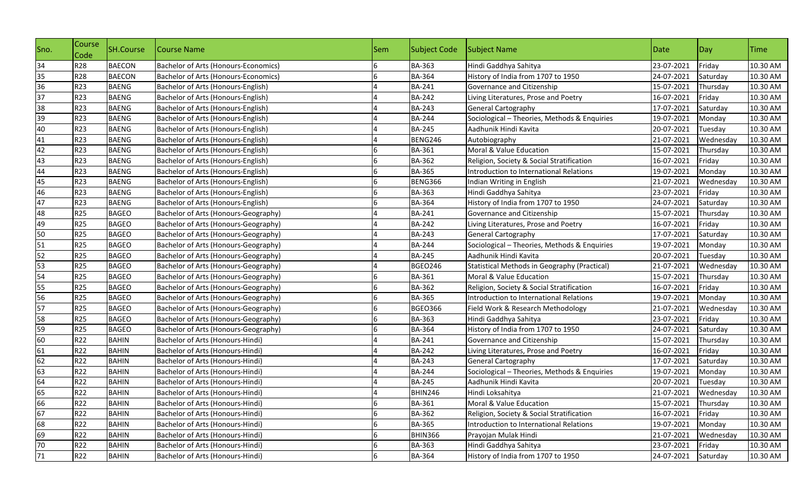| Sno. | Course<br>Code | SH.Course     | Course Name                             | <b>Sem</b> | <b>Subject Code</b> | Subject Name                                 | Date       | Day       | <b>Time</b> |
|------|----------------|---------------|-----------------------------------------|------------|---------------------|----------------------------------------------|------------|-----------|-------------|
| 34   | R28            | <b>BAECON</b> | Bachelor of Arts (Honours-Economics)    |            | <b>BA-363</b>       | Hindi Gaddhya Sahitya                        | 23-07-2021 | Friday    | 10.30 AM    |
| 35   | <b>R28</b>     | <b>BAECON</b> | Bachelor of Arts (Honours-Economics)    |            | <b>BA-364</b>       | History of India from 1707 to 1950           | 24-07-2021 | Saturday  | 10.30 AM    |
| 36   | R23            | <b>BAENG</b>  | Bachelor of Arts (Honours-English)      |            | <b>BA-241</b>       | Governance and Citizenship                   | 15-07-2021 | Thursday  | 10.30 AM    |
| 37   | R23            | <b>BAENG</b>  | Bachelor of Arts (Honours-English)      |            | <b>BA-242</b>       | Living Literatures, Prose and Poetry         | 16-07-2021 | Friday    | 10.30 AM    |
| 38   | R23            | <b>BAENG</b>  | Bachelor of Arts (Honours-English)      |            | <b>BA-243</b>       | <b>General Cartography</b>                   | 17-07-2021 | Saturday  | 10.30 AM    |
| 39   | <b>R23</b>     | <b>BAENG</b>  | Bachelor of Arts (Honours-English)      |            | <b>BA-244</b>       | Sociological - Theories, Methods & Enquiries | 19-07-2021 | Monday    | 10.30 AM    |
| 40   | R23            | <b>BAENG</b>  | Bachelor of Arts (Honours-English)      |            | <b>BA-245</b>       | Aadhunik Hindi Kavita                        | 20-07-2021 | Tuesday   | 10.30 AM    |
| 41   | R23            | <b>BAENG</b>  | Bachelor of Arts (Honours-English)      |            | BENG246             | Autobiography                                | 21-07-2021 | Wednesday | 10.30 AM    |
| 42   | R23            | <b>BAENG</b>  | Bachelor of Arts (Honours-English)      |            | <b>BA-361</b>       | Moral & Value Education                      | 15-07-2021 | Thursday  | 10.30 AM    |
| 43   | R23            | <b>BAENG</b>  | Bachelor of Arts (Honours-English)      |            | <b>BA-362</b>       | Religion, Society & Social Stratification    | 16-07-2021 | Friday    | 10.30 AM    |
| 44   | R23            | <b>BAENG</b>  | Bachelor of Arts (Honours-English)      | 6          | <b>BA-365</b>       | Introduction to International Relations      | 19-07-2021 | Monday    | 10.30 AM    |
| 45   | R23            | <b>BAENG</b>  | Bachelor of Arts (Honours-English)      |            | BENG366             | Indian Writing in English                    | 21-07-2021 | Wednesday | 10.30 AM    |
| 46   | R23            | <b>BAENG</b>  | Bachelor of Arts (Honours-English)      |            | <b>BA-363</b>       | Hindi Gaddhya Sahitya                        | 23-07-2021 | Friday    | 10.30 AM    |
| 47   | R23            | <b>BAENG</b>  | Bachelor of Arts (Honours-English)      |            | <b>BA-364</b>       | History of India from 1707 to 1950           | 24-07-2021 | Saturday  | 10.30 AM    |
| 48   | <b>R25</b>     | <b>BAGEO</b>  | Bachelor of Arts (Honours-Geography)    |            | <b>BA-241</b>       | Governance and Citizenship                   | 15-07-2021 | Thursday  | 10.30 AM    |
| 49   | <b>R25</b>     | <b>BAGEO</b>  | Bachelor of Arts (Honours-Geography)    |            | <b>BA-242</b>       | Living Literatures, Prose and Poetry         | 16-07-2021 | Friday    | 10.30 AM    |
| 50   | <b>R25</b>     | <b>BAGEO</b>  | Bachelor of Arts (Honours-Geography)    |            | <b>BA-243</b>       | General Cartography                          | 17-07-2021 | Saturday  | 10.30 AM    |
| 51   | <b>R25</b>     | <b>BAGEO</b>  | Bachelor of Arts (Honours-Geography)    |            | <b>BA-244</b>       | Sociological - Theories, Methods & Enquiries | 19-07-2021 | Monday    | 10.30 AM    |
| 52   | <b>R25</b>     | <b>BAGEO</b>  | Bachelor of Arts (Honours-Geography)    |            | <b>BA-245</b>       | Aadhunik Hindi Kavita                        | 20-07-2021 | Tuesday   | 10.30 AM    |
| 53   | <b>R25</b>     | <b>BAGEO</b>  | Bachelor of Arts (Honours-Geography)    |            | <b>BGEO246</b>      | Statistical Methods in Geography (Practical) | 21-07-2021 | Wednesday | 10.30 AM    |
| 54   | <b>R25</b>     | <b>BAGEO</b>  | Bachelor of Arts (Honours-Geography)    | 6          | <b>BA-361</b>       | Moral & Value Education                      | 15-07-2021 | Thursday  | 10.30 AM    |
| 55   | <b>R25</b>     | <b>BAGEO</b>  | Bachelor of Arts (Honours-Geography)    |            | <b>BA-362</b>       | Religion, Society & Social Stratification    | 16-07-2021 | Friday    | 10.30 AM    |
| 56   | <b>R25</b>     | <b>BAGEO</b>  | Bachelor of Arts (Honours-Geography)    |            | <b>BA-365</b>       | Introduction to International Relations      | 19-07-2021 | Monday    | 10.30 AM    |
| 57   | <b>R25</b>     | <b>BAGEO</b>  | Bachelor of Arts (Honours-Geography)    | 6          | <b>BGEO366</b>      | Field Work & Research Methodology            | 21-07-2021 | Wednesday | 10.30 AM    |
| 58   | <b>R25</b>     | <b>BAGEO</b>  | Bachelor of Arts (Honours-Geography)    | 6          | <b>BA-363</b>       | Hindi Gaddhya Sahitya                        | 23-07-2021 | Friday    | 10.30 AM    |
| 59   | <b>R25</b>     | <b>BAGEO</b>  | Bachelor of Arts (Honours-Geography)    | 6          | <b>BA-364</b>       | History of India from 1707 to 1950           | 24-07-2021 | Saturday  | 10.30 AM    |
| 60   | R22            | <b>BAHIN</b>  | Bachelor of Arts (Honours-Hindi)        |            | <b>BA-241</b>       | Governance and Citizenship                   | 15-07-2021 | Thursday  | 10.30 AM    |
| 61   | R22            | <b>BAHIN</b>  | Bachelor of Arts (Honours-Hindi)        |            | <b>BA-242</b>       | Living Literatures, Prose and Poetry         | 16-07-2021 | Friday    | 10.30 AM    |
| 62   | R22            | <b>BAHIN</b>  | <b>Bachelor of Arts (Honours-Hindi)</b> |            | <b>BA-243</b>       | General Cartography                          | 17-07-2021 | Saturday  | 10.30 AM    |
| 63   | R22            | <b>BAHIN</b>  | Bachelor of Arts (Honours-Hindi)        |            | <b>BA-244</b>       | Sociological - Theories, Methods & Enquiries | 19-07-2021 | Monday    | 10.30 AM    |
| 64   | R22            | <b>BAHIN</b>  | Bachelor of Arts (Honours-Hindi)        |            | <b>BA-245</b>       | Aadhunik Hindi Kavita                        | 20-07-2021 | Tuesday   | 10.30 AM    |
| 65   | R22            | <b>BAHIN</b>  | Bachelor of Arts (Honours-Hindi)        |            | BHIN246             | Hindi Loksahitya                             | 21-07-2021 | Wednesday | 10.30 AM    |
| 66   | R22            | <b>BAHIN</b>  | Bachelor of Arts (Honours-Hindi)        | 6          | <b>BA-361</b>       | Moral & Value Education                      | 15-07-2021 | Thursday  | 10.30 AM    |
| 67   | R22            | <b>BAHIN</b>  | Bachelor of Arts (Honours-Hindi)        |            | <b>BA-362</b>       | Religion, Society & Social Stratification    | 16-07-2021 | Friday    | 10.30 AM    |
| 68   | R22            | <b>BAHIN</b>  | Bachelor of Arts (Honours-Hindi)        | 6          | <b>BA-365</b>       | Introduction to International Relations      | 19-07-2021 | Monday    | 10.30 AM    |
| 69   | R22            | <b>BAHIN</b>  | Bachelor of Arts (Honours-Hindi)        | 6          | <b>BHIN366</b>      | Prayojan Mulak Hindi                         | 21-07-2021 | Wednesday | 10.30 AM    |
| 70   | R22            | <b>BAHIN</b>  | Bachelor of Arts (Honours-Hindi)        | 6          | <b>BA-363</b>       | Hindi Gaddhya Sahitya                        | 23-07-2021 | Friday    | 10.30 AM    |
| 71   | R22            | <b>BAHIN</b>  | Bachelor of Arts (Honours-Hindi)        | 6          | <b>BA-364</b>       | History of India from 1707 to 1950           | 24-07-2021 | Saturday  | 10.30 AM    |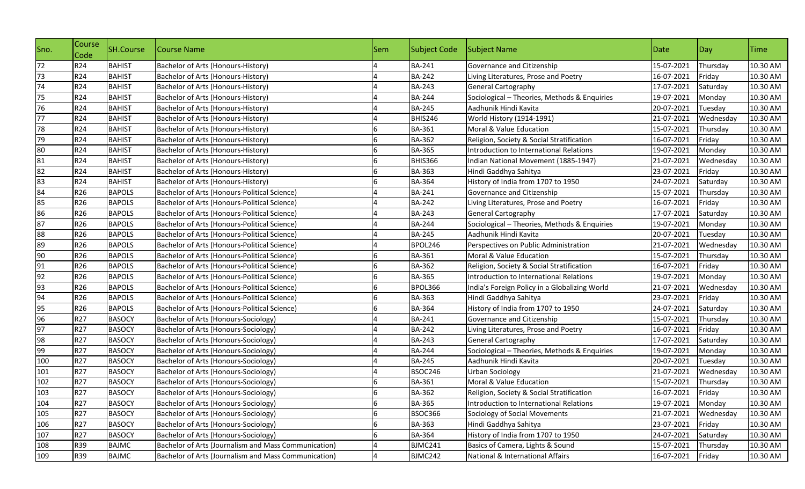| Sno. | Course<br>Code | SH.Course     | Course Name                                          | Sem | Subject Code   | Subject Name                                  | Date       | Day       | <b>Time</b> |
|------|----------------|---------------|------------------------------------------------------|-----|----------------|-----------------------------------------------|------------|-----------|-------------|
| 72   | R24            | <b>BAHIST</b> | Bachelor of Arts (Honours-History)                   |     | <b>BA-241</b>  | Governance and Citizenship                    | 15-07-2021 | Thursday  | 10.30 AM    |
| 73   | R24            | <b>BAHIST</b> | Bachelor of Arts (Honours-History)                   |     | <b>BA-242</b>  | Living Literatures, Prose and Poetry          | 16-07-2021 | Friday    | 10.30 AM    |
| 74   | R24            | <b>BAHIST</b> | Bachelor of Arts (Honours-History)                   |     | <b>BA-243</b>  | <b>General Cartography</b>                    | 17-07-2021 | Saturday  | 10.30 AM    |
| 75   | R24            | <b>BAHIST</b> | Bachelor of Arts (Honours-History)                   |     | <b>BA-244</b>  | Sociological - Theories, Methods & Enquiries  | 19-07-2021 | Monday    | 10.30 AM    |
| 76   | R24            | <b>BAHIST</b> | Bachelor of Arts (Honours-History)                   |     | <b>BA-245</b>  | Aadhunik Hindi Kavita                         | 20-07-2021 | Tuesday   | 10.30 AM    |
| 77   | R24            | <b>BAHIST</b> | Bachelor of Arts (Honours-History)                   |     | BHIS246        | World History (1914-1991)                     | 21-07-2021 | Wednesday | 10.30 AM    |
| 78   | R24            | <b>BAHIST</b> | Bachelor of Arts (Honours-History)                   |     | <b>BA-361</b>  | Moral & Value Education                       | 15-07-2021 | Thursday  | 10.30 AM    |
| 79   | R24            | <b>BAHIST</b> | Bachelor of Arts (Honours-History)                   |     | <b>BA-362</b>  | Religion, Society & Social Stratification     | 16-07-2021 | Friday    | 10.30 AM    |
| 80   | R24            | <b>BAHIST</b> | Bachelor of Arts (Honours-History)                   | 6   | <b>BA-365</b>  | Introduction to International Relations       | 19-07-2021 | Monday    | 10.30 AM    |
| 81   | R24            | <b>BAHIST</b> | Bachelor of Arts (Honours-History)                   |     | BHIS366        | Indian National Movement (1885-1947)          | 21-07-2021 | Wednesday | 10.30 AM    |
| 82   | R24            | <b>BAHIST</b> | Bachelor of Arts (Honours-History)                   | 6   | <b>BA-363</b>  | Hindi Gaddhya Sahitya                         | 23-07-2021 | Friday    | 10.30 AM    |
| 83   | R24            | <b>BAHIST</b> | Bachelor of Arts (Honours-History)                   |     | <b>BA-364</b>  | History of India from 1707 to 1950            | 24-07-2021 | Saturday  | 10.30 AM    |
| 84   | R26            | <b>BAPOLS</b> | Bachelor of Arts (Honours-Political Science)         |     | <b>BA-241</b>  | Governance and Citizenship                    | 15-07-2021 | Thursday  | 10.30 AM    |
| 85   | R26            | <b>BAPOLS</b> | Bachelor of Arts (Honours-Political Science)         |     | <b>BA-242</b>  | Living Literatures, Prose and Poetry          | 16-07-2021 | Friday    | 10.30 AM    |
| 86   | R26            | <b>BAPOLS</b> | Bachelor of Arts (Honours-Political Science)         |     | <b>BA-243</b>  | <b>General Cartography</b>                    | 17-07-2021 | Saturday  | 10.30 AM    |
| 87   | R26            | <b>BAPOLS</b> | Bachelor of Arts (Honours-Political Science)         |     | <b>BA-244</b>  | Sociological - Theories, Methods & Enquiries  | 19-07-2021 | Monday    | 10.30 AM    |
| 88   | R26            | <b>BAPOLS</b> | Bachelor of Arts (Honours-Political Science)         |     | <b>BA-245</b>  | Aadhunik Hindi Kavita                         | 20-07-2021 | Tuesday   | 10.30 AM    |
| 89   | R26            | <b>BAPOLS</b> | Bachelor of Arts (Honours-Political Science)         |     | BPOL246        | Perspectives on Public Administration         | 21-07-2021 | Wednesday | 10.30 AM    |
| 90   | R26            | <b>BAPOLS</b> | Bachelor of Arts (Honours-Political Science)         |     | <b>BA-361</b>  | Moral & Value Education                       | 15-07-2021 | Thursday  | 10.30 AM    |
| 91   | R26            | <b>BAPOLS</b> | Bachelor of Arts (Honours-Political Science)         |     | <b>BA-362</b>  | Religion, Society & Social Stratification     | 16-07-2021 | Friday    | 10.30 AM    |
| 92   | R26            | <b>BAPOLS</b> | Bachelor of Arts (Honours-Political Science)         | 6   | <b>BA-365</b>  | Introduction to International Relations       | 19-07-2021 | Monday    | 10.30 AM    |
| 93   | R26            | <b>BAPOLS</b> | Bachelor of Arts (Honours-Political Science)         | 6   | BPOL366        | India's Foreign Policy in a Globalizing World | 21-07-2021 | Wednesday | 10.30 AM    |
| 94   | R26            | <b>BAPOLS</b> | Bachelor of Arts (Honours-Political Science)         | 6.  | BA-363         | Hindi Gaddhya Sahitya                         | 23-07-2021 | Friday    | 10.30 AM    |
| 95   | R26            | <b>BAPOLS</b> | Bachelor of Arts (Honours-Political Science)         | 6   | <b>BA-364</b>  | History of India from 1707 to 1950            | 24-07-2021 | Saturday  | 10.30 AM    |
| 96   | R27            | <b>BASOCY</b> | Bachelor of Arts (Honours-Sociology)                 |     | <b>BA-241</b>  | Governance and Citizenship                    | 15-07-2021 | Thursday  | 10.30 AM    |
| 97   | R27            | <b>BASOCY</b> | Bachelor of Arts (Honours-Sociology)                 |     | <b>BA-242</b>  | Living Literatures, Prose and Poetry          | 16-07-2021 | Friday    | 10.30 AM    |
| 98   | R27            | <b>BASOCY</b> | Bachelor of Arts (Honours-Sociology)                 |     | <b>BA-243</b>  | <b>General Cartography</b>                    | 17-07-2021 | Saturday  | 10.30 AM    |
| 99   | R27            | <b>BASOCY</b> | Bachelor of Arts (Honours-Sociology)                 |     | <b>BA-244</b>  | Sociological - Theories, Methods & Enquiries  | 19-07-2021 | Monday    | 10.30 AM    |
| 100  | R27            | <b>BASOCY</b> | Bachelor of Arts (Honours-Sociology)                 |     | <b>BA-245</b>  | Aadhunik Hindi Kavita                         | 20-07-2021 | Tuesday   | 10.30 AM    |
| 101  | R27            | <b>BASOCY</b> | Bachelor of Arts (Honours-Sociology)                 |     | BSOC246        | <b>Urban Sociology</b>                        | 21-07-2021 | Wednesday | 10.30 AM    |
| 102  | R27            | <b>BASOCY</b> | Bachelor of Arts (Honours-Sociology)                 |     | <b>BA-361</b>  | Moral & Value Education                       | 15-07-2021 | Thursday  | 10.30 AM    |
| 103  | R27            | <b>BASOCY</b> | Bachelor of Arts (Honours-Sociology)                 |     | <b>BA-362</b>  | Religion, Society & Social Stratification     | 16-07-2021 | Friday    | 10.30 AM    |
| 104  | R27            | <b>BASOCY</b> | Bachelor of Arts (Honours-Sociology)                 | 6   | <b>BA-365</b>  | Introduction to International Relations       | 19-07-2021 | Monday    | 10.30 AM    |
| 105  | R27            | <b>BASOCY</b> | Bachelor of Arts (Honours-Sociology)                 | 6   | <b>BSOC366</b> | Sociology of Social Movements                 | 21-07-2021 | Wednesday | 10.30 AM    |
| 106  | R27            | <b>BASOCY</b> | Bachelor of Arts (Honours-Sociology)                 | 6   | BA-363         | Hindi Gaddhya Sahitya                         | 23-07-2021 | Friday    | 10.30 AM    |
| 107  | R27            | <b>BASOCY</b> | Bachelor of Arts (Honours-Sociology)                 | 6   | <b>BA-364</b>  | History of India from 1707 to 1950            | 24-07-2021 | Saturday  | 10.30 AM    |
| 108  | R39            | <b>BAJMC</b>  | Bachelor of Arts (Journalism and Mass Communication) |     | BJMC241        | Basics of Camera, Lights & Sound              | 15-07-2021 | Thursday  | 10.30 AM    |
| 109  | R39            | <b>BAJMC</b>  | Bachelor of Arts (Journalism and Mass Communication) | 4   | BJMC242        | National & International Affairs              | 16-07-2021 | Friday    | 10.30 AM    |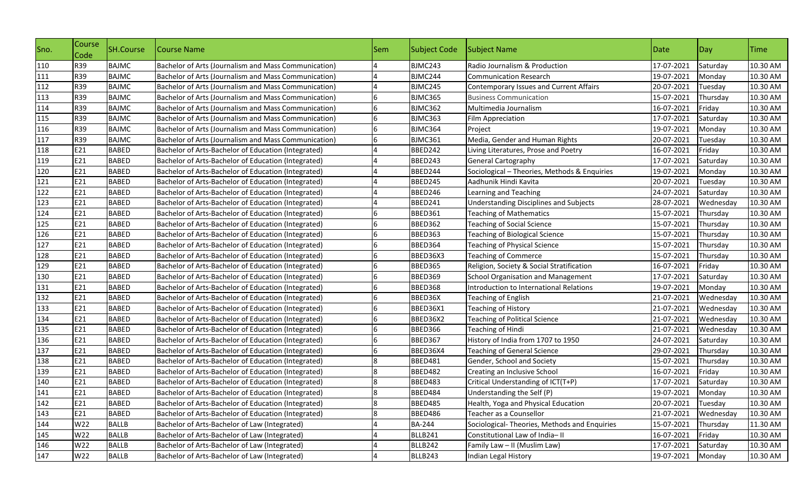| Sno. | Course<br>Code | <b>SH.Course</b> | Course Name                                          | Sem | <b>Subject Code</b> | Subject Name                                   | Date       | Day       | Time     |
|------|----------------|------------------|------------------------------------------------------|-----|---------------------|------------------------------------------------|------------|-----------|----------|
| 110  | R39            | <b>BAJMC</b>     | Bachelor of Arts (Journalism and Mass Communication) |     | BJMC243             | Radio Journalism & Production                  | 17-07-2021 | Saturday  | 10.30 AM |
| 111  | R39            | <b>BAJMC</b>     | Bachelor of Arts (Journalism and Mass Communication) |     | BJMC244             | <b>Communication Research</b>                  | 19-07-2021 | Monday    | 10.30 AM |
| 112  | R39            | <b>BAJMC</b>     | Bachelor of Arts (Journalism and Mass Communication) |     | BJMC245             | <b>Contemporary Issues and Current Affairs</b> | 20-07-2021 | Tuesday   | 10.30 AM |
| 113  | <b>R39</b>     | <b>BAJMC</b>     | Bachelor of Arts (Journalism and Mass Communication) |     | BJMC365             | <b>Business Communication</b>                  | 15-07-2021 | Thursday  | 10.30 AM |
| 114  | R39            | <b>BAJMC</b>     | Bachelor of Arts (Journalism and Mass Communication) | 6   | BJMC362             | Multimedia Journalism                          | 16-07-2021 | Friday    | 10.30 AM |
| 115  | R39            | <b>BAJMC</b>     | Bachelor of Arts (Journalism and Mass Communication) | 6   | BJMC363             | Film Appreciation                              | 17-07-2021 | Saturday  | 10.30 AM |
| 116  | R39            | <b>BAJMC</b>     | Bachelor of Arts (Journalism and Mass Communication) | 6   | BJMC364             | Project                                        | 19-07-2021 | Monday    | 10.30 AM |
| 117  | R39            | <b>BAJMC</b>     | Bachelor of Arts (Journalism and Mass Communication) |     | <b>BJMC361</b>      | Media, Gender and Human Rights                 | 20-07-2021 | Tuesday   | 10.30 AM |
| 118  | E21            | <b>BABED</b>     | Bachelor of Arts-Bachelor of Education (Integrated)  |     | BBED242             | Living Literatures, Prose and Poetry           | 16-07-2021 | Friday    | 10.30 AM |
| 119  | E21            | <b>BABED</b>     | Bachelor of Arts-Bachelor of Education (Integrated)  |     | BBED243             | <b>General Cartography</b>                     | 17-07-2021 | Saturday  | 10.30 AM |
| 120  | E21            | <b>BABED</b>     | Bachelor of Arts-Bachelor of Education (Integrated)  |     | BBED244             | Sociological - Theories, Methods & Enquiries   | 19-07-2021 | Monday    | 10.30 AM |
| 121  | E21            | <b>BABED</b>     | Bachelor of Arts-Bachelor of Education (Integrated)  |     | BBED245             | Aadhunik Hindi Kavita                          | 20-07-2021 | Tuesday   | 10.30 AM |
| 122  | E21            | <b>BABED</b>     | Bachelor of Arts-Bachelor of Education (Integrated)  |     | BBED246             | Learning and Teaching                          | 24-07-2021 | Saturday  | 10.30 AM |
| 123  | E21            | <b>BABED</b>     | Bachelor of Arts-Bachelor of Education (Integrated)  |     | BBED241             | <b>Understanding Disciplines and Subjects</b>  | 28-07-2021 | Wednesday | 10.30 AM |
| 124  | E21            | <b>BABED</b>     | Bachelor of Arts-Bachelor of Education (Integrated)  | 6   | <b>BBED361</b>      | <b>Teaching of Mathematics</b>                 | 15-07-2021 | Thursday  | 10.30 AM |
| 125  | E21            | <b>BABED</b>     | Bachelor of Arts-Bachelor of Education (Integrated)  | 6   | <b>BBED362</b>      | <b>Teaching of Social Science</b>              | 15-07-2021 | Thursday  | 10.30 AM |
| 126  | E21            | <b>BABED</b>     | Bachelor of Arts-Bachelor of Education (Integrated)  | 6   | BBED363             | <b>Teaching of Biological Science</b>          | 15-07-2021 | Thursday  | 10.30 AM |
| 127  | E21            | <b>BABED</b>     | Bachelor of Arts-Bachelor of Education (Integrated)  |     | BBED364             | <b>Teaching of Physical Science</b>            | 15-07-2021 | Thursday  | 10.30 AM |
| 128  | E21            | <b>BABED</b>     | Bachelor of Arts-Bachelor of Education (Integrated)  |     | BBED36X3            | <b>Teaching of Commerce</b>                    | 15-07-2021 | Thursday  | 10.30 AM |
| 129  | E21            | <b>BABED</b>     | Bachelor of Arts-Bachelor of Education (Integrated)  | 6   | <b>BBED365</b>      | Religion, Society & Social Stratification      | 16-07-2021 | Friday    | 10.30 AM |
| 130  | E21            | <b>BABED</b>     | Bachelor of Arts-Bachelor of Education (Integrated)  | 6   | BBED369             | School Organisation and Management             | 17-07-2021 | Saturday  | 10.30 AM |
| 131  | E21            | <b>BABED</b>     | Bachelor of Arts-Bachelor of Education (Integrated)  | 6   | BBED368             | Introduction to International Relations        | 19-07-2021 | Monday    | 10.30 AM |
| 132  | E21            | <b>BABED</b>     | Bachelor of Arts-Bachelor of Education (Integrated)  |     | BBED36X             | <b>Teaching of English</b>                     | 21-07-2021 | Wednesday | 10.30 AM |
| 133  | E21            | <b>BABED</b>     | Bachelor of Arts-Bachelor of Education (Integrated)  |     | BBED36X1            | Teaching of History                            | 21-07-2021 | Wednesday | 10.30 AM |
| 134  | E21            | <b>BABED</b>     | Bachelor of Arts-Bachelor of Education (Integrated)  |     | BBED36X2            | <b>Teaching of Political Science</b>           | 21-07-2021 | Wednesday | 10.30 AM |
| 135  | E21            | <b>BABED</b>     | Bachelor of Arts-Bachelor of Education (Integrated)  | 6   | BBED366             | Teaching of Hindi                              | 21-07-2021 | Wednesday | 10.30 AM |
| 136  | E21            | <b>BABED</b>     | Bachelor of Arts-Bachelor of Education (Integrated)  | 6   | <b>BBED367</b>      | History of India from 1707 to 1950             | 24-07-2021 | Saturday  | 10.30 AM |
| 137  | E21            | <b>BABED</b>     | Bachelor of Arts-Bachelor of Education (Integrated)  |     | BBED36X4            | <b>Teaching of General Science</b>             | 29-07-2021 | Thursday  | 10.30 AM |
| 138  | E21            | <b>BABED</b>     | Bachelor of Arts-Bachelor of Education (Integrated)  |     | <b>BBED481</b>      | Gender, School and Society                     | 15-07-2021 | Thursday  | 10.30 AM |
| 139  | E21            | <b>BABED</b>     | Bachelor of Arts-Bachelor of Education (Integrated)  |     | <b>BBED482</b>      | Creating an Inclusive School                   | 16-07-2021 | Friday    | 10.30 AM |
| 140  | E21            | <b>BABED</b>     | Bachelor of Arts-Bachelor of Education (Integrated)  |     | <b>BBED483</b>      | Critical Understanding of ICT(T+P)             | 17-07-2021 | Saturday  | 10.30 AM |
| 141  | E21            | <b>BABED</b>     | Bachelor of Arts-Bachelor of Education (Integrated)  |     | <b>BBED484</b>      | Understanding the Self (P)                     | 19-07-2021 | Monday    | 10.30 AM |
| 142  | E21            | <b>BABED</b>     | Bachelor of Arts-Bachelor of Education (Integrated)  | 8   | <b>BBED485</b>      | Health, Yoga and Physical Education            | 20-07-2021 | Tuesday   | 10.30 AM |
| 143  | E21            | <b>BABED</b>     | Bachelor of Arts-Bachelor of Education (Integrated)  |     | <b>BBED486</b>      | Teacher as a Counsellor                        | 21-07-2021 | Wednesday | 10.30 AM |
| 144  | W22            | <b>BALLB</b>     | Bachelor of Arts-Bachelor of Law (Integrated)        |     | <b>BA-244</b>       | Sociological-Theories, Methods and Enquiries   | 15-07-2021 | Thursday  | 11.30 AM |
| 145  | W22            | <b>BALLB</b>     | Bachelor of Arts-Bachelor of Law (Integrated)        |     | BLLB241             | Constitutional Law of India-II                 | 16-07-2021 | Friday    | 10.30 AM |
| 146  | W22            | <b>BALLB</b>     | Bachelor of Arts-Bachelor of Law (Integrated)        |     | BLLB242             | Family Law - II (Muslim Law)                   | 17-07-2021 | Saturday  | 10.30 AM |
| 147  | W22            | <b>BALLB</b>     | Bachelor of Arts-Bachelor of Law (Integrated)        |     | BLLB243             | Indian Legal History                           | 19-07-2021 | Monday    | 10.30 AM |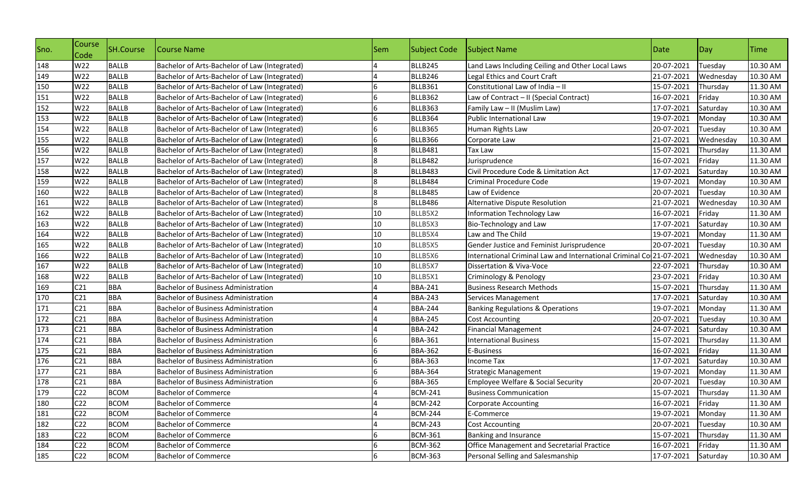| Sno. | Course<br>Code  | SH.Course    | Course Name                                   | Sem | <b>Subject Code</b> | Subject Name                                                        | Date       | Day       | <b>Time</b> |
|------|-----------------|--------------|-----------------------------------------------|-----|---------------------|---------------------------------------------------------------------|------------|-----------|-------------|
| 148  | W22             | <b>BALLB</b> | Bachelor of Arts-Bachelor of Law (Integrated) |     | BLLB245             | Land Laws Including Ceiling and Other Local Laws                    | 20-07-2021 | Tuesday   | 10.30 AM    |
| 149  | W22             | <b>BALLB</b> | Bachelor of Arts-Bachelor of Law (Integrated) |     | BLLB246             | Legal Ethics and Court Craft                                        | 21-07-2021 | Wednesday | 10.30 AM    |
| 150  | W22             | <b>BALLB</b> | Bachelor of Arts-Bachelor of Law (Integrated) | 6   | <b>BLLB361</b>      | Constitutional Law of India - II                                    | 15-07-2021 | Thursday  | 11.30 AM    |
| 151  | W22             | <b>BALLB</b> | Bachelor of Arts-Bachelor of Law (Integrated) |     | BLLB362             | Law of Contract - II (Special Contract)                             | 16-07-2021 | Friday    | 10.30 AM    |
| 152  | W22             | <b>BALLB</b> | Bachelor of Arts-Bachelor of Law (Integrated) |     | BLLB363             | Family Law - II (Muslim Law)                                        | 17-07-2021 | Saturday  | 10.30 AM    |
| 153  | W22             | <b>BALLB</b> | Bachelor of Arts-Bachelor of Law (Integrated) | 6   | <b>BLLB364</b>      | Public International Law                                            | 19-07-2021 | Monday    | 10.30 AM    |
| 154  | W22             | <b>BALLB</b> | Bachelor of Arts-Bachelor of Law (Integrated) | 6   | BLLB365             | Human Rights Law                                                    | 20-07-2021 | Tuesday   | 10.30 AM    |
| 155  | W22             | <b>BALLB</b> | Bachelor of Arts-Bachelor of Law (Integrated) | 6   | <b>BLLB366</b>      | Corporate Law                                                       | 21-07-2021 | Wednesday | 10.30 AM    |
| 156  | W22             | <b>BALLB</b> | Bachelor of Arts-Bachelor of Law (Integrated) |     | <b>BLLB481</b>      | Tax Law                                                             | 15-07-2021 | Thursday  | 11.30 AM    |
| 157  | W22             | <b>BALLB</b> | Bachelor of Arts-Bachelor of Law (Integrated) |     | <b>BLLB482</b>      | Jurisprudence                                                       | 16-07-2021 | Friday    | 11.30 AM    |
| 158  | W22             | <b>BALLB</b> | Bachelor of Arts-Bachelor of Law (Integrated) |     | BLLB483             | Civil Procedure Code & Limitation Act                               | 17-07-2021 | Saturday  | 10.30 AM    |
| 159  | W22             | <b>BALLB</b> | Bachelor of Arts-Bachelor of Law (Integrated) |     | <b>BLLB484</b>      | Criminal Procedure Code                                             | 19-07-2021 | Monday    | 10.30 AM    |
| 160  | W22             | <b>BALLB</b> | Bachelor of Arts-Bachelor of Law (Integrated) | 8   | <b>BLLB485</b>      | Law of Evidence                                                     | 20-07-2021 | Tuesday   | 10.30 AM    |
| 161  | W22             | <b>BALLB</b> | Bachelor of Arts-Bachelor of Law (Integrated) |     | BLLB486             | Alternative Dispute Resolution                                      | 21-07-2021 | Wednesday | 10.30 AM    |
| 162  | W22             | <b>BALLB</b> | Bachelor of Arts-Bachelor of Law (Integrated) | 10  | BLLB5X2             | Information Technology Law                                          | 16-07-2021 | Friday    | 11.30 AM    |
| 163  | W22             | <b>BALLB</b> | Bachelor of Arts-Bachelor of Law (Integrated) | 10  | BLLB5X3             | Bio-Technology and Law                                              | 17-07-2021 | Saturday  | 10.30 AM    |
| 164  | W22             | <b>BALLB</b> | Bachelor of Arts-Bachelor of Law (Integrated) | 10  | BLLB5X4             | Law and The Child                                                   | 19-07-2021 | Monday    | 11.30 AM    |
| 165  | W22             | <b>BALLB</b> | Bachelor of Arts-Bachelor of Law (Integrated) | 10  | BLLB5X5             | Gender Justice and Feminist Jurisprudence                           | 20-07-2021 | Tuesday   | 10.30 AM    |
| 166  | W22             | <b>BALLB</b> | Bachelor of Arts-Bachelor of Law (Integrated) | 10  | BLLB5X6             | International Criminal Law and International Criminal Co 21-07-2021 |            | Wednesday | 10.30 AM    |
| 167  | W22             | <b>BALLB</b> | Bachelor of Arts-Bachelor of Law (Integrated) | 10  | BLLB5X7             | Dissertation & Viva-Voce                                            | 22-07-2021 | Thursday  | 10.30 AM    |
| 168  | W22             | <b>BALLB</b> | Bachelor of Arts-Bachelor of Law (Integrated) | 10  | BLLB5X1             | Criminology & Penology                                              | 23-07-2021 | Friday    | 10.30 AM    |
| 169  | C <sub>21</sub> | <b>BBA</b>   | <b>Bachelor of Business Administration</b>    |     | <b>BBA-241</b>      | <b>Business Research Methods</b>                                    | 15-07-2021 | Thursday  | 11.30 AM    |
| 170  | C <sub>21</sub> | <b>BBA</b>   | <b>Bachelor of Business Administration</b>    |     | <b>BBA-243</b>      | Services Management                                                 | 17-07-2021 | Saturday  | 10.30 AM    |
| 171  | C <sub>21</sub> | <b>BBA</b>   | <b>Bachelor of Business Administration</b>    |     | <b>BBA-244</b>      | <b>Banking Regulations &amp; Operations</b>                         | 19-07-2021 | Monday    | 11.30 AM    |
| 172  | C <sub>21</sub> | <b>BBA</b>   | <b>Bachelor of Business Administration</b>    |     | <b>BBA-245</b>      | <b>Cost Accounting</b>                                              | 20-07-2021 | Tuesday   | 10.30 AM    |
| 173  | C <sub>21</sub> | <b>BBA</b>   | <b>Bachelor of Business Administration</b>    |     | <b>BBA-242</b>      | <b>Financial Management</b>                                         | 24-07-2021 | Saturday  | 10.30 AM    |
| 174  | C <sub>21</sub> | <b>BBA</b>   | <b>Bachelor of Business Administration</b>    |     | <b>BBA-361</b>      | <b>International Business</b>                                       | 15-07-2021 | Thursday  | 11.30 AM    |
| 175  | C <sub>21</sub> | <b>BBA</b>   | <b>Bachelor of Business Administration</b>    | 6   | <b>BBA-362</b>      | E-Business                                                          | 16-07-2021 | Friday    | 11.30 AM    |
| 176  | C <sub>21</sub> | <b>BBA</b>   | <b>Bachelor of Business Administration</b>    | 6   | <b>BBA-363</b>      | <b>Income Tax</b>                                                   | 17-07-2021 | Saturday  | 10.30 AM    |
| 177  | C <sub>21</sub> | <b>BBA</b>   | <b>Bachelor of Business Administration</b>    | 6   | <b>BBA-364</b>      | <b>Strategic Management</b>                                         | 19-07-2021 | Monday    | 11.30 AM    |
| 178  | C <sub>21</sub> | <b>BBA</b>   | <b>Bachelor of Business Administration</b>    | 6   | <b>BBA-365</b>      | <b>Employee Welfare &amp; Social Security</b>                       | 20-07-2021 | Tuesday   | 10.30 AM    |
| 179  | C <sub>22</sub> | <b>BCOM</b>  | <b>Bachelor of Commerce</b>                   |     | <b>BCM-241</b>      | <b>Business Communication</b>                                       | 15-07-2021 | Thursday  | 11.30 AM    |
| 180  | C <sub>22</sub> | <b>BCOM</b>  | <b>Bachelor of Commerce</b>                   | 4   | <b>BCM-242</b>      | <b>Corporate Accounting</b>                                         | 16-07-2021 | Friday    | 11.30 AM    |
| 181  | C <sub>22</sub> | <b>BCOM</b>  | <b>Bachelor of Commerce</b>                   |     | <b>BCM-244</b>      | E-Commerce                                                          | 19-07-2021 | Monday    | 11.30 AM    |
| 182  | C <sub>22</sub> | <b>BCOM</b>  | <b>Bachelor of Commerce</b>                   |     | <b>BCM-243</b>      | <b>Cost Accounting</b>                                              | 20-07-2021 | Tuesday   | 10.30 AM    |
| 183  | C <sub>22</sub> | <b>BCOM</b>  | <b>Bachelor of Commerce</b>                   |     | <b>BCM-361</b>      | Banking and Insurance                                               | 15-07-2021 | Thursday  | 11.30 AM    |
| 184  | C <sub>22</sub> | <b>BCOM</b>  | <b>Bachelor of Commerce</b>                   |     | <b>BCM-362</b>      | Office Management and Secretarial Practice                          | 16-07-2021 | Friday    | 11.30 AM    |
| 185  | C <sub>22</sub> | <b>BCOM</b>  | <b>Bachelor of Commerce</b>                   | 6   | <b>BCM-363</b>      | Personal Selling and Salesmanship                                   | 17-07-2021 | Saturday  | 10.30 AM    |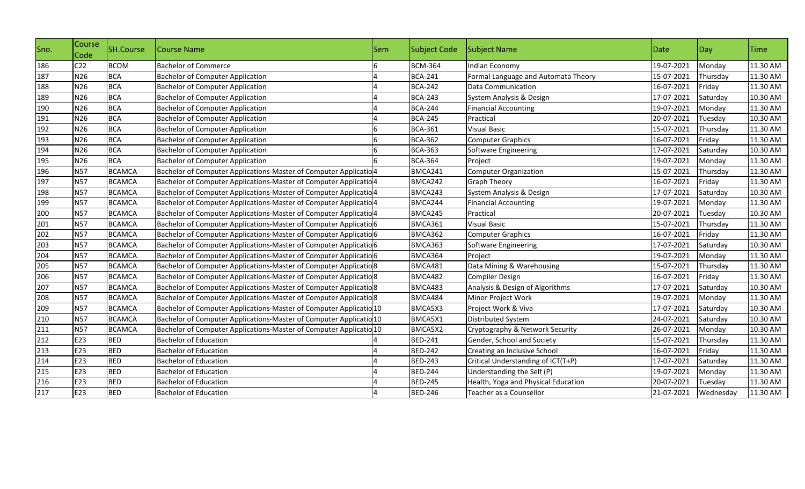| Sno. | Course<br>Code  | <b>SH.Course</b> | Course Name                                                                  | lSem. | Subject Code   | Subject Name                        | Date       | $\log$    | <b>Time</b> |
|------|-----------------|------------------|------------------------------------------------------------------------------|-------|----------------|-------------------------------------|------------|-----------|-------------|
| 186  | C <sub>22</sub> | <b>BCOM</b>      | <b>Bachelor of Commerce</b>                                                  |       | <b>BCM-364</b> | <b>Indian Economy</b>               | 19-07-2021 | Monday    | 11.30 AM    |
| 187  | N26             | <b>BCA</b>       | <b>Bachelor of Computer Application</b>                                      |       | <b>BCA-241</b> | Formal Language and Automata Theory | 15-07-2021 | Thursday  | 11.30 AM    |
| 188  | N26             | <b>BCA</b>       | <b>Bachelor of Computer Application</b>                                      |       | <b>BCA-242</b> | Data Communication                  | 16-07-2021 | Friday    | 11.30 AM    |
| 189  | N26             | <b>BCA</b>       | <b>Bachelor of Computer Application</b>                                      |       | <b>BCA-243</b> | System Analysis & Design            | 17-07-2021 | Saturday  | 10.30 AM    |
| 190  | N26             | <b>BCA</b>       | <b>Bachelor of Computer Application</b>                                      |       | <b>BCA-244</b> | <b>Financial Accounting</b>         | 19-07-2021 | Monday    | 11.30 AM    |
| 191  | N26             | <b>BCA</b>       | <b>Bachelor of Computer Application</b>                                      |       | <b>BCA-245</b> | Practical                           | 20-07-2021 | Tuesday   | 10.30 AM    |
| 192  | N26             | <b>BCA</b>       | <b>Bachelor of Computer Application</b>                                      |       | <b>BCA-361</b> | <b>Visual Basic</b>                 | 15-07-2021 | Thursday  | 11.30 AM    |
| 193  | N26             | <b>BCA</b>       | <b>Bachelor of Computer Application</b>                                      |       | <b>BCA-362</b> | Computer Graphics                   | 16-07-2021 | Friday    | 11.30 AM    |
| 194  | N26             | <b>BCA</b>       | <b>Bachelor of Computer Application</b>                                      |       | <b>BCA-363</b> | Software Engineering                | 17-07-2021 | Saturday  | 10.30 AM    |
| 195  | N26             | <b>BCA</b>       | <b>Bachelor of Computer Application</b>                                      |       | <b>BCA-364</b> | Project                             | 19-07-2021 | Monday    | 11.30 AM    |
| 196  | <b>N57</b>      | <b>BCAMCA</b>    | Bachelor of Computer Applications-Master of Computer Applicatio4             |       | BMCA241        | <b>Computer Organization</b>        | 15-07-2021 | Thursday  | 11.30 AM    |
| 197  | <b>N57</b>      | <b>BCAMCA</b>    | Bachelor of Computer Applications-Master of Computer Applicatio <sup>4</sup> |       | BMCA242        | <b>Graph Theory</b>                 | 16-07-2021 | Friday    | 11.30 AM    |
| 198  | <b>N57</b>      | <b>BCAMCA</b>    | Bachelor of Computer Applications-Master of Computer Applicatio <sup>4</sup> |       | BMCA243        | System Analysis & Design            | 17-07-2021 | Saturday  | 10.30 AM    |
| 199  | <b>N57</b>      | <b>BCAMCA</b>    | Bachelor of Computer Applications-Master of Computer Applicatio <sup>4</sup> |       | BMCA244        | <b>Financial Accounting</b>         | 19-07-2021 | Monday    | 11.30 AM    |
| 200  | <b>N57</b>      | <b>BCAMCA</b>    | Bachelor of Computer Applications-Master of Computer Applicatio <sup>4</sup> |       | BMCA245        | Practical                           | 20-07-2021 | Tuesday   | 10.30 AM    |
| 201  | <b>N57</b>      | <b>BCAMCA</b>    | Bachelor of Computer Applications-Master of Computer Applicatio6             |       | BMCA361        | <b>Visual Basic</b>                 | 15-07-2021 | Thursday  | 11.30 AM    |
| 202  | <b>N57</b>      | <b>BCAMCA</b>    | Bachelor of Computer Applications-Master of Computer Applicatio6             |       | BMCA362        | <b>Computer Graphics</b>            | 16-07-2021 | Friday    | 11.30 AM    |
| 203  | <b>N57</b>      | <b>BCAMCA</b>    | Bachelor of Computer Applications-Master of Computer Applicatio 6            |       | BMCA363        | Software Engineering                | 17-07-2021 | Saturday  | 10.30 AM    |
| 204  | <b>N57</b>      | <b>BCAMCA</b>    | Bachelor of Computer Applications-Master of Computer Applicatio6             |       | BMCA364        | Project                             | 19-07-2021 | Monday    | 11.30 AM    |
| 205  | <b>N57</b>      | <b>BCAMCA</b>    | Bachelor of Computer Applications-Master of Computer Applicatio 8            |       | BMCA481        | Data Mining & Warehousing           | 15-07-2021 | Thursday  | 11.30 AM    |
| 206  | <b>N57</b>      | <b>BCAMCA</b>    | Bachelor of Computer Applications-Master of Computer Applicatio 8            |       | BMCA482        | Compiler Design                     | 16-07-2021 | Friday    | 11.30 AM    |
| 207  | <b>N57</b>      | <b>BCAMCA</b>    | Bachelor of Computer Applications-Master of Computer Applicatio 8            |       | BMCA483        | Analysis & Design of Algorithms     | 17-07-2021 | Saturday  | 10.30 AM    |
| 208  | <b>N57</b>      | <b>BCAMCA</b>    | Bachelor of Computer Applications-Master of Computer Applicatio 8            |       | BMCA484        | Minor Project Work                  | 19-07-2021 | Monday    | 11.30 AM    |
| 209  | <b>N57</b>      | <b>BCAMCA</b>    | Bachelor of Computer Applications-Master of Computer Applicatio 10           |       | BMCA5X3        | Project Work & Viva                 | 17-07-2021 | Saturday  | 10.30 AM    |
| 210  | <b>N57</b>      | <b>BCAMCA</b>    | Bachelor of Computer Applications-Master of Computer Applicatio 10           |       | BMCA5X1        | <b>Distributed System</b>           | 24-07-2021 | Saturday  | 10.30 AM    |
| 211  | <b>N57</b>      | <b>BCAMCA</b>    | Bachelor of Computer Applications-Master of Computer Applicatio 10           |       | BMCA5X2        | Cryptography & Network Security     | 26-07-2021 | Monday    | 10.30 AM    |
| 212  | E23             | <b>BED</b>       | <b>Bachelor of Education</b>                                                 |       | <b>BED-241</b> | Gender, School and Society          | 15-07-2021 | Thursday  | 11.30 AM    |
| 213  | E23             | <b>BED</b>       | <b>Bachelor of Education</b>                                                 |       | <b>BED-242</b> | Creating an Inclusive School        | 16-07-2021 | Friday    | 11.30 AM    |
| 214  | E23             | <b>BED</b>       | <b>Bachelor of Education</b>                                                 |       | <b>BED-243</b> | Critical Understanding of ICT(T+P)  | 17-07-2021 | Saturday  | 11.30 AM    |
| 215  | E23             | <b>BED</b>       | <b>Bachelor of Education</b>                                                 |       | <b>BED-244</b> | Understanding the Self (P)          | 19-07-2021 | Monday    | 11.30 AM    |
| 216  | E23             | <b>BED</b>       | <b>Bachelor of Education</b>                                                 |       | <b>BED-245</b> | Health, Yoga and Physical Education | 20-07-2021 | Tuesday   | 11.30 AM    |
| 217  | E23             | <b>BED</b>       | <b>Bachelor of Education</b>                                                 |       | <b>BED-246</b> | Teacher as a Counsellor             | 21-07-2021 | Wednesday | 11.30 AM    |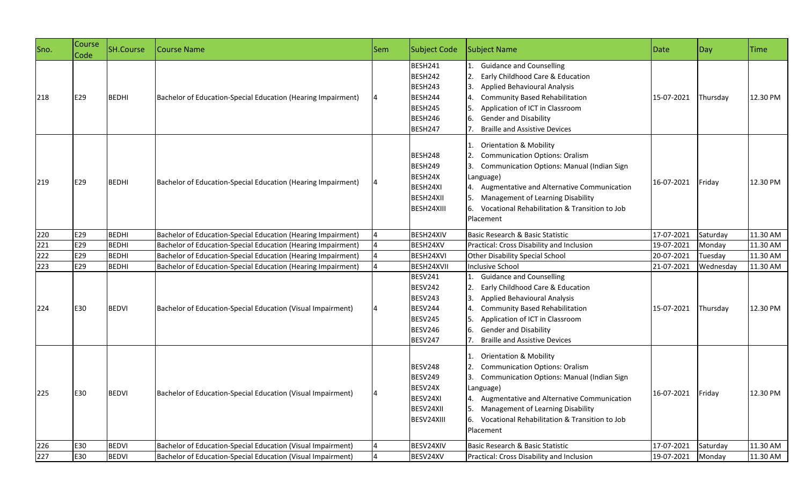| Sno. | Course<br>Code | <b>SH.Course</b> | Course Name                                                  | <b>Sem</b> | Subject Code                                                                                   | Subject Name                                                                                                                                                                                                                                                                                        | Date              | Day       | <b>Time</b> |
|------|----------------|------------------|--------------------------------------------------------------|------------|------------------------------------------------------------------------------------------------|-----------------------------------------------------------------------------------------------------------------------------------------------------------------------------------------------------------------------------------------------------------------------------------------------------|-------------------|-----------|-------------|
| 218  | E29            | <b>BEDHI</b>     | Bachelor of Education-Special Education (Hearing Impairment) |            | BESH241<br>BESH242<br>BESH243<br>BESH244<br>BESH245<br>BESH246<br>BESH247                      | <b>Guidance and Counselling</b><br>Early Childhood Care & Education<br><b>Applied Behavioural Analysis</b><br><b>Community Based Rehabilitation</b><br>Application of ICT in Classroom<br><b>Gender and Disability</b><br><b>Braille and Assistive Devices</b>                                      | 15-07-2021        | Thursday  | 12.30 PM    |
| 219  | E29            | <b>BEDHI</b>     | Bachelor of Education-Special Education (Hearing Impairment) |            | BESH248<br>BESH249<br>BESH24X<br>BESH24XI<br>BESH24XII<br>BESH24XIII                           | <b>Orientation &amp; Mobility</b><br><b>Communication Options: Oralism</b><br><b>Communication Options: Manual (Indian Sign</b><br>Language)<br>4. Augmentative and Alternative Communication<br>Management of Learning Disability<br>6. Vocational Rehabilitation & Transition to Job<br>Placement | 16-07-2021        | Friday    | 12.30 PM    |
| 220  | E29            | <b>BEDHI</b>     | Bachelor of Education-Special Education (Hearing Impairment) |            | BESH24XIV                                                                                      | Basic Research & Basic Statistic                                                                                                                                                                                                                                                                    | 17-07-2021        | Saturday  | 11.30 AM    |
| 221  | E29            | <b>BEDHI</b>     | Bachelor of Education-Special Education (Hearing Impairment) |            | BESH24XV                                                                                       | Practical: Cross Disability and Inclusion                                                                                                                                                                                                                                                           | 19-07-2021        | Monday    | 11.30 AM    |
| 222  | E29            | <b>BEDHI</b>     | Bachelor of Education-Special Education (Hearing Impairment) |            | BESH24XVI                                                                                      | Other Disability Special School                                                                                                                                                                                                                                                                     | 20-07-2021        | Tuesday   | 11.30 AM    |
| 223  | E29            | <b>BEDHI</b>     | Bachelor of Education-Special Education (Hearing Impairment) |            | BESH24XVII                                                                                     | Inclusive School                                                                                                                                                                                                                                                                                    | 21-07-2021        | Wednesday | 11.30 AM    |
| 224  | E30            | <b>BEDVI</b>     | Bachelor of Education-Special Education (Visual Impairment)  |            | <b>BESV241</b><br><b>BESV242</b><br>BESV243<br>BESV244<br>BESV245<br><b>BESV246</b><br>BESV247 | <b>Guidance and Counselling</b><br>Early Childhood Care & Education<br><b>Applied Behavioural Analysis</b><br><b>Community Based Rehabilitation</b><br>Application of ICT in Classroom<br><b>Gender and Disability</b><br><b>Braille and Assistive Devices</b>                                      | 15-07-2021        | Thursday  | 12.30 PM    |
| 225  | E30            | <b>BEDVI</b>     | Bachelor of Education-Special Education (Visual Impairment)  |            | <b>BESV248</b><br><b>BESV249</b><br>BESV24X<br>BESV24XI<br>BESV24XII<br>BESV24XIII             | <b>Orientation &amp; Mobility</b><br><b>Communication Options: Oralism</b><br>Communication Options: Manual (Indian Sign<br>Language)<br>4. Augmentative and Alternative Communication<br>Management of Learning Disability<br>6. Vocational Rehabilitation & Transition to Job<br>Placement        | 16-07-2021 Friday |           | 12.30 PM    |
| 226  | E30            | <b>BEDVI</b>     | Bachelor of Education-Special Education (Visual Impairment)  |            | BESV24XIV                                                                                      | Basic Research & Basic Statistic                                                                                                                                                                                                                                                                    | 17-07-2021        | Saturday  | 11.30 AM    |
| 227  | E30            | <b>BEDVI</b>     | Bachelor of Education-Special Education (Visual Impairment)  |            | BESV24XV                                                                                       | Practical: Cross Disability and Inclusion                                                                                                                                                                                                                                                           | 19-07-2021        | Monday    | 11.30 AM    |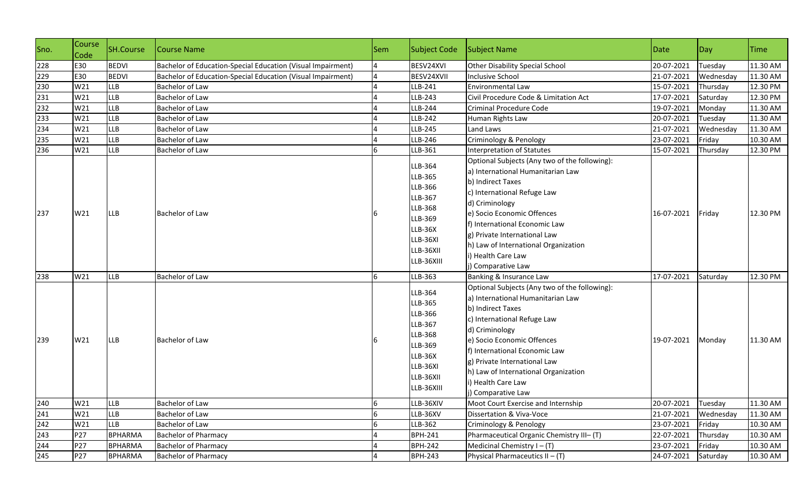| Sno. | Course<br>Code | <b>SH.Course</b> | Course Name                                                 | Sem | <b>Subject Code</b>                                                                                                     | Subject Name                                                                                                                                                                                                                                                                                                                                | Date       | Day       | <b>Time</b> |
|------|----------------|------------------|-------------------------------------------------------------|-----|-------------------------------------------------------------------------------------------------------------------------|---------------------------------------------------------------------------------------------------------------------------------------------------------------------------------------------------------------------------------------------------------------------------------------------------------------------------------------------|------------|-----------|-------------|
| 228  | E30            | <b>BEDVI</b>     | Bachelor of Education-Special Education (Visual Impairment) |     | BESV24XVI                                                                                                               | Other Disability Special School                                                                                                                                                                                                                                                                                                             | 20-07-2021 | Tuesday   | 11.30 AM    |
| 229  | E30            | <b>BEDVI</b>     | Bachelor of Education-Special Education (Visual Impairment) | 4   | BESV24XVII                                                                                                              | <b>Inclusive School</b>                                                                                                                                                                                                                                                                                                                     | 21-07-2021 | Wednesday | 11.30 AM    |
| 230  | W21            | <b>LLB</b>       | Bachelor of Law                                             |     | LLB-241                                                                                                                 | Environmental Law                                                                                                                                                                                                                                                                                                                           | 15-07-2021 | Thursday  | 12.30 PM    |
| 231  | W21            | <b>LLB</b>       | <b>Bachelor of Law</b>                                      |     | LLB-243                                                                                                                 | Civil Procedure Code & Limitation Act                                                                                                                                                                                                                                                                                                       | 17-07-2021 | Saturday  | 12.30 PM    |
| 232  | W21            | <b>LLB</b>       | Bachelor of Law                                             |     | LLB-244                                                                                                                 | Criminal Procedure Code                                                                                                                                                                                                                                                                                                                     | 19-07-2021 | Monday    | 11.30 AM    |
| 233  | W21            | LLB              | Bachelor of Law                                             |     | LLB-242                                                                                                                 | Human Rights Law                                                                                                                                                                                                                                                                                                                            | 20-07-2021 | Tuesday   | 11.30 AM    |
| 234  | W21            | <b>LLB</b>       | <b>Bachelor of Law</b>                                      |     | LLB-245                                                                                                                 | Land Laws                                                                                                                                                                                                                                                                                                                                   | 21-07-2021 | Wednesday | 11.30 AM    |
| 235  | W21            | <b>LLB</b>       | Bachelor of Law                                             |     | LLB-246                                                                                                                 | Criminology & Penology                                                                                                                                                                                                                                                                                                                      | 23-07-2021 | Friday    | 10.30 AM    |
| 236  | W21            | <b>LLB</b>       | <b>Bachelor of Law</b>                                      |     | LLB-361                                                                                                                 | Interpretation of Statutes                                                                                                                                                                                                                                                                                                                  | 15-07-2021 | Thursday  | 12.30 PM    |
| 237  | W21            | <b>LLB</b>       | Bachelor of Law                                             |     | LLB-364<br>LLB-365<br>LLB-366<br>LLB-367<br>LLB-368<br>LLB-369<br>LLB-36X<br>LLB-36XI<br>LLB-36XII<br>LLB-36XIII        | Optional Subjects (Any two of the following):<br>a) International Humanitarian Law<br>b) Indirect Taxes<br>c) International Refuge Law<br>d) Criminology<br>e) Socio Economic Offences<br>f) International Economic Law<br>g) Private International Law<br>h) Law of International Organization<br>i) Health Care Law<br>j) Comparative Law | 16-07-2021 | Friday    | 12.30 PM    |
| 238  | W21            | <b>LLB</b>       | <b>Bachelor of Law</b>                                      | 6   | LLB-363                                                                                                                 | Banking & Insurance Law                                                                                                                                                                                                                                                                                                                     | 17-07-2021 | Saturday  | 12.30 PM    |
| 239  | W21            | LLB              | <b>Bachelor of Law</b>                                      |     | LLB-364<br>LLB-365<br>LLB-366<br>LLB-367<br><b>LLB-368</b><br>LLB-369<br>LLB-36X<br>LLB-36XI<br>LLB-36XII<br>LLB-36XIII | Optional Subjects (Any two of the following):<br>a) International Humanitarian Law<br>b) Indirect Taxes<br>c) International Refuge Law<br>d) Criminology<br>e) Socio Economic Offences<br>f) International Economic Law<br>g) Private International Law<br>h) Law of International Organization<br>i) Health Care Law<br>j) Comparative Law | 19-07-2021 | Monday    | 11.30 AM    |
| 240  | W21            | <b>LLB</b>       | Bachelor of Law                                             | 6   | LLB-36XIV                                                                                                               | Moot Court Exercise and Internship                                                                                                                                                                                                                                                                                                          | 20-07-2021 | Tuesday   | 11.30 AM    |
| 241  | W21            | <b>LLB</b>       | Bachelor of Law                                             |     | LLB-36XV                                                                                                                | Dissertation & Viva-Voce                                                                                                                                                                                                                                                                                                                    | 21-07-2021 | Wednesday | 11.30 AM    |
| 242  | W21            | <b>LLB</b>       | Bachelor of Law                                             |     | LLB-362                                                                                                                 | Criminology & Penology                                                                                                                                                                                                                                                                                                                      | 23-07-2021 | Friday    | 10.30 AM    |
| 243  | P27            | <b>BPHARMA</b>   | <b>Bachelor of Pharmacy</b>                                 |     | <b>BPH-241</b>                                                                                                          | Pharmaceutical Organic Chemistry III- (T)                                                                                                                                                                                                                                                                                                   | 22-07-2021 | Thursday  | 10.30 AM    |
| 244  | P27            | <b>BPHARMA</b>   | <b>Bachelor of Pharmacy</b>                                 |     | <b>BPH-242</b>                                                                                                          | Medicinal Chemistry $I - (T)$                                                                                                                                                                                                                                                                                                               | 23-07-2021 | Friday    | 10.30 AM    |
| 245  | P27            | <b>BPHARMA</b>   | <b>Bachelor of Pharmacy</b>                                 | 4   | <b>BPH-243</b>                                                                                                          | Physical Pharmaceutics $II - (T)$                                                                                                                                                                                                                                                                                                           | 24-07-2021 | Saturday  | 10.30 AM    |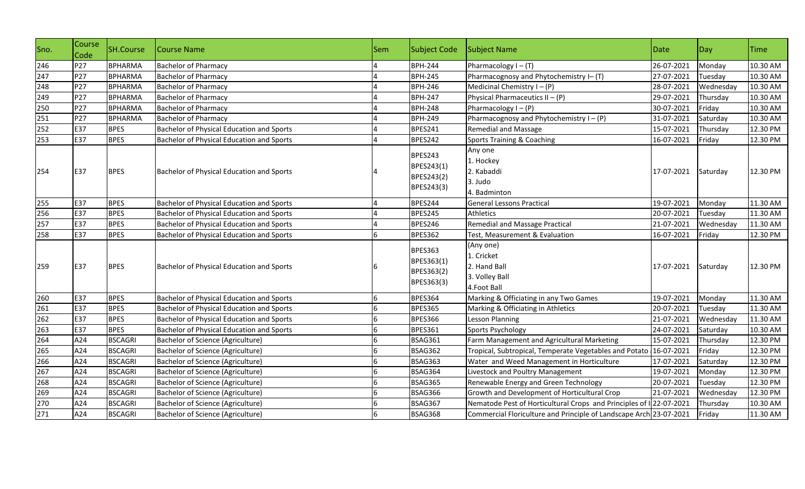| Sno. | Course<br>Code | <b>SH.Course</b> | Course Name                               | <b>Sem</b> | Subject Code                                             | <b>Subject Name</b>                                                      | Date       | Day       | <b>Time</b> |
|------|----------------|------------------|-------------------------------------------|------------|----------------------------------------------------------|--------------------------------------------------------------------------|------------|-----------|-------------|
| 246  | P27            | <b>BPHARMA</b>   | <b>Bachelor of Pharmacy</b>               |            | <b>BPH-244</b>                                           | Pharmacology $I - (T)$                                                   | 26-07-2021 | Monday    | 10.30 AM    |
| 247  | P27            | <b>BPHARMA</b>   | <b>Bachelor of Pharmacy</b>               |            | <b>BPH-245</b>                                           | Pharmacognosy and Phytochemistry I- (T)                                  | 27-07-2021 | Tuesday   | 10.30 AM    |
| 248  | P27            | <b>BPHARMA</b>   | <b>Bachelor of Pharmacy</b>               |            | <b>BPH-246</b>                                           | Medicinal Chemistry $I - (P)$                                            | 28-07-2021 | Wednesday | 10.30 AM    |
| 249  | P27            | <b>BPHARMA</b>   | <b>Bachelor of Pharmacy</b>               |            | <b>BPH-247</b>                                           | Physical Pharmaceutics $II - (P)$                                        | 29-07-2021 | Thursday  | 10.30 AM    |
| 250  | P27            | <b>BPHARMA</b>   | <b>Bachelor of Pharmacy</b>               |            | <b>BPH-248</b>                                           | Pharmacology $I - (P)$                                                   | 30-07-2021 | Friday    | 10.30 AM    |
| 251  | P27            | <b>BPHARMA</b>   | <b>Bachelor of Pharmacy</b>               |            | <b>BPH-249</b>                                           | Pharmacognosy and Phytochemistry $I - (P)$                               | 31-07-2021 | Saturday  | 10.30 AM    |
| 252  | E37            | <b>BPES</b>      | Bachelor of Physical Education and Sports |            | BPES241                                                  | <b>Remedial and Massage</b>                                              | 15-07-2021 | Thursday  | 12.30 PM    |
| 253  | E37            | <b>BPES</b>      | Bachelor of Physical Education and Sports |            | BPES242                                                  | <b>Sports Training &amp; Coaching</b>                                    | 16-07-2021 | Friday    | 12.30 PM    |
| 254  | E37            | <b>BPES</b>      | Bachelor of Physical Education and Sports |            | BPES243<br>BPES243(1)<br>BPES243(2)<br>BPES243(3)        | Any one<br>1. Hockey<br>2. Kabaddi<br>3. Judo<br>4. Badminton            | 17-07-2021 | Saturday  | 12.30 PM    |
| 255  | E37            | <b>BPES</b>      | Bachelor of Physical Education and Sports |            | BPES244                                                  | <b>General Lessons Practical</b>                                         | 19-07-2021 | Monday    | 11.30 AM    |
| 256  | E37            | <b>BPES</b>      | Bachelor of Physical Education and Sports |            | BPES245                                                  | Athletics                                                                | 20-07-2021 | Tuesday   | 11.30 AM    |
| 257  | E37            | <b>BPES</b>      | Bachelor of Physical Education and Sports |            | BPES246                                                  | <b>Remedial and Massage Practical</b>                                    | 21-07-2021 | Wednesday | 11.30 AM    |
| 258  | E37            | <b>BPES</b>      | Bachelor of Physical Education and Sports |            | <b>BPES362</b>                                           | Test, Measurement & Evaluation                                           | 16-07-2021 | Friday    | 12.30 PM    |
| 259  | E37            | <b>BPES</b>      | Bachelor of Physical Education and Sports |            | <b>BPES363</b><br>BPES363(1)<br>BPES363(2)<br>BPES363(3) | (Any one)<br>1. Cricket<br>2. Hand Ball<br>3. Volley Ball<br>4.Foot Ball | 17-07-2021 | Saturday  | 12.30 PM    |
| 260  | E37            | <b>BPES</b>      | Bachelor of Physical Education and Sports |            | BPES364                                                  | Marking & Officiating in any Two Games                                   | 19-07-2021 | Monday    | 11.30 AM    |
| 261  | E37            | <b>BPES</b>      | Bachelor of Physical Education and Sports |            | BPES365                                                  | Marking & Officiating in Athletics                                       | 20-07-2021 | Tuesday   | 11.30 AM    |
| 262  | E37            | <b>BPES</b>      | Bachelor of Physical Education and Sports |            | <b>BPES366</b>                                           | Lesson Planning                                                          | 21-07-2021 | Wednesday | 11.30 AM    |
| 263  | E37            | <b>BPES</b>      | Bachelor of Physical Education and Sports | 6          | <b>BPES361</b>                                           | Sports Psychology                                                        | 24-07-2021 | Saturday  | 10.30 AM    |
| 264  | A24            | <b>BSCAGRI</b>   | Bachelor of Science (Agriculture)         | 6          | BSAG361                                                  | Farm Management and Agricultural Marketing                               | 15-07-2021 | Thursday  | 12.30 PM    |
| 265  | A24            | <b>BSCAGRI</b>   | Bachelor of Science (Agriculture)         |            | BSAG362                                                  | Tropical, Subtropical, Temperate Vegetables and Potato                   | 16-07-2021 | Friday    | 12.30 PM    |
| 266  | A24            | <b>BSCAGRI</b>   | Bachelor of Science (Agriculture)         |            | BSAG363                                                  | Water and Weed Management in Horticulture                                | 17-07-2021 | Saturday  | 12.30 PM    |
| 267  | A24            | <b>BSCAGRI</b>   | Bachelor of Science (Agriculture)         |            | BSAG364                                                  | Livestock and Poultry Management                                         | 19-07-2021 | Monday    | 12.30 PM    |
| 268  | A24            | <b>BSCAGRI</b>   | Bachelor of Science (Agriculture)         |            | BSAG365                                                  | Renewable Energy and Green Technology                                    | 20-07-2021 | Tuesday   | 12.30 PM    |
| 269  | A24            | <b>BSCAGRI</b>   | Bachelor of Science (Agriculture)         |            | BSAG366                                                  | Growth and Development of Horticultural Crop                             | 21-07-2021 | Wednesday | 12.30 PM    |
| 270  | A24            | <b>BSCAGRI</b>   | Bachelor of Science (Agriculture)         |            | BSAG367                                                  | Nematode Pest of Horticultural Crops and Principles of I 22-07-2021      |            | Thursday  | 10.30 AM    |
| 271  | A24            | <b>BSCAGRI</b>   | Bachelor of Science (Agriculture)         |            | BSAG368                                                  | Commercial Floriculture and Principle of Landscape Arch 23-07-2021       |            | Friday    | 11.30 AM    |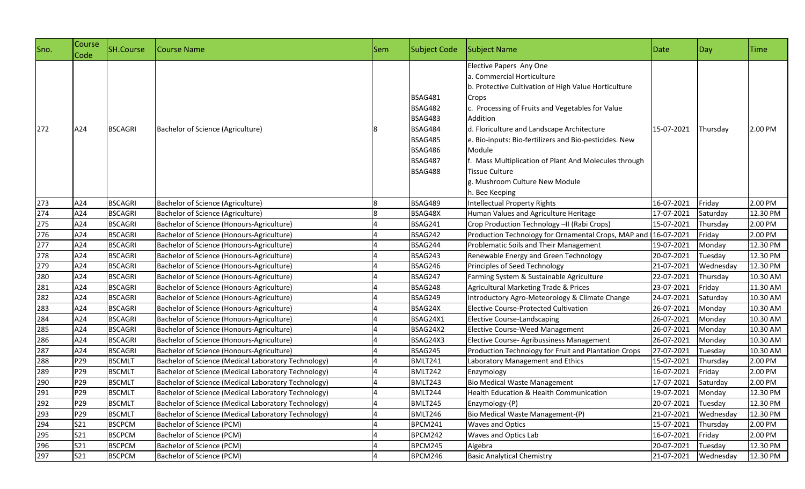| Sno. | Course<br>Code | SH.Course      | Course Name                                         | Sem | Subject Code                                                                                                            | Subject Name                                                                                                                                                                                                                                                                                                                                                                                                                                          | Date       | Day       | Time     |
|------|----------------|----------------|-----------------------------------------------------|-----|-------------------------------------------------------------------------------------------------------------------------|-------------------------------------------------------------------------------------------------------------------------------------------------------------------------------------------------------------------------------------------------------------------------------------------------------------------------------------------------------------------------------------------------------------------------------------------------------|------------|-----------|----------|
| 272  | A24            | <b>BSCAGRI</b> | Bachelor of Science (Agriculture)                   |     | <b>BSAG481</b><br><b>BSAG482</b><br>BSAG483<br><b>BSAG484</b><br><b>BSAG485</b><br>BSAG486<br><b>BSAG487</b><br>BSAG488 | Elective Papers Any One<br>a. Commercial Horticulture<br>b. Protective Cultivation of High Value Horticulture<br>Crops<br>c. Processing of Fruits and Vegetables for Value<br><b>Addition</b><br>d. Floriculture and Landscape Architecture<br>e. Bio-inputs: Bio-fertilizers and Bio-pesticides. New<br>Module<br>f. Mass Multiplication of Plant And Molecules through<br><b>Tissue Culture</b><br>g. Mushroom Culture New Module<br>h. Bee Keeping | 15-07-2021 | Thursday  | 2.00 PM  |
| 273  | A24            | <b>BSCAGRI</b> | Bachelor of Science (Agriculture)                   |     | <b>BSAG489</b>                                                                                                          | Intellectual Property Rights                                                                                                                                                                                                                                                                                                                                                                                                                          | 16-07-2021 | Friday    | 2.00 PM  |
| 274  | A24            | <b>BSCAGRI</b> | Bachelor of Science (Agriculture)                   |     | BSAG48X                                                                                                                 | Human Values and Agriculture Heritage                                                                                                                                                                                                                                                                                                                                                                                                                 | 17-07-2021 | Saturday  | 12.30 PM |
| 275  | A24            | <b>BSCAGRI</b> | Bachelor of Science (Honours-Agriculture)           |     | BSAG241                                                                                                                 | Crop Production Technology -II (Rabi Crops)                                                                                                                                                                                                                                                                                                                                                                                                           | 15-07-2021 | Thursday  | 2.00 PM  |
| 276  | A24            | <b>BSCAGRI</b> | Bachelor of Science (Honours-Agriculture)           |     | BSAG242                                                                                                                 | Production Technology for Ornamental Crops, MAP and 16-07-2021                                                                                                                                                                                                                                                                                                                                                                                        |            | Friday    | 2.00 PM  |
| 277  | A24            | <b>BSCAGRI</b> | Bachelor of Science (Honours-Agriculture)           |     | BSAG244                                                                                                                 | Problematic Soils and Their Management                                                                                                                                                                                                                                                                                                                                                                                                                | 19-07-2021 | Monday    | 12.30 PM |
| 278  | A24            | <b>BSCAGRI</b> | Bachelor of Science (Honours-Agriculture)           |     | BSAG243                                                                                                                 | Renewable Energy and Green Technology                                                                                                                                                                                                                                                                                                                                                                                                                 | 20-07-2021 | Tuesday   | 12.30 PM |
| 279  | A24            | <b>BSCAGRI</b> | Bachelor of Science (Honours-Agriculture)           |     | BSAG246                                                                                                                 | Principles of Seed Technology                                                                                                                                                                                                                                                                                                                                                                                                                         | 21-07-2021 | Wednesday | 12.30 PM |
| 280  | A24            | <b>BSCAGRI</b> | Bachelor of Science (Honours-Agriculture)           |     | BSAG247                                                                                                                 | Farming System & Sustainable Agriculture                                                                                                                                                                                                                                                                                                                                                                                                              | 22-07-2021 | Thursday  | 10.30 AM |
| 281  | A24            | <b>BSCAGRI</b> | Bachelor of Science (Honours-Agriculture)           |     | BSAG248                                                                                                                 | Agricultural Marketing Trade & Prices                                                                                                                                                                                                                                                                                                                                                                                                                 | 23-07-2021 | Friday    | 11.30 AM |
| 282  | A24            | <b>BSCAGRI</b> | Bachelor of Science (Honours-Agriculture)           |     | BSAG249                                                                                                                 | Introductory Agro-Meteorology & Climate Change                                                                                                                                                                                                                                                                                                                                                                                                        | 24-07-2021 | Saturday  | 10.30 AM |
| 283  | A24            | <b>BSCAGRI</b> | Bachelor of Science (Honours-Agriculture)           |     | BSAG24X                                                                                                                 | <b>Elective Course-Protected Cultivation</b>                                                                                                                                                                                                                                                                                                                                                                                                          | 26-07-2021 | Monday    | 10.30 AM |
| 284  | A24            | <b>BSCAGRI</b> | Bachelor of Science (Honours-Agriculture)           |     | BSAG24X1                                                                                                                | <b>Elective Course-Landscaping</b>                                                                                                                                                                                                                                                                                                                                                                                                                    | 26-07-2021 | Monday    | 10.30 AM |
| 285  | A24            | <b>BSCAGRI</b> | Bachelor of Science (Honours-Agriculture)           |     | BSAG24X2                                                                                                                | <b>Elective Course-Weed Management</b>                                                                                                                                                                                                                                                                                                                                                                                                                | 26-07-2021 | Monday    | 10.30 AM |
| 286  | A24            | <b>BSCAGRI</b> | Bachelor of Science (Honours-Agriculture)           |     | BSAG24X3                                                                                                                | Elective Course- Agribussiness Management                                                                                                                                                                                                                                                                                                                                                                                                             | 26-07-2021 | Monday    | 10.30 AM |
| 287  | A24            | <b>BSCAGRI</b> | Bachelor of Science (Honours-Agriculture)           |     | BSAG245                                                                                                                 | Production Technology for Fruit and Plantation Crops                                                                                                                                                                                                                                                                                                                                                                                                  | 27-07-2021 | Tuesday   | 10.30 AM |
| 288  | P29            | <b>BSCMLT</b>  | Bachelor of Science (Medical Laboratory Technology) |     | BMLT241                                                                                                                 | Laboratory Management and Ethics                                                                                                                                                                                                                                                                                                                                                                                                                      | 15-07-2021 | Thursday  | 2.00 PM  |
| 289  | P29            | <b>BSCMLT</b>  | Bachelor of Science (Medical Laboratory Technology) |     | BMLT242                                                                                                                 | Enzymology                                                                                                                                                                                                                                                                                                                                                                                                                                            | 16-07-2021 | Friday    | 2.00 PM  |
| 290  | P29            | <b>BSCMLT</b>  | Bachelor of Science (Medical Laboratory Technology) |     | BMLT243                                                                                                                 | <b>Bio Medical Waste Management</b>                                                                                                                                                                                                                                                                                                                                                                                                                   | 17-07-2021 | Saturday  | 2.00 PM  |
| 291  | P29            | <b>BSCMLT</b>  | Bachelor of Science (Medical Laboratory Technology) |     | BMLT244                                                                                                                 | Health Education & Health Communication                                                                                                                                                                                                                                                                                                                                                                                                               | 19-07-2021 | Monday    | 12.30 PM |
| 292  | P29            | <b>BSCMLT</b>  | Bachelor of Science (Medical Laboratory Technology) |     | BMLT245                                                                                                                 | Enzymology-(P)                                                                                                                                                                                                                                                                                                                                                                                                                                        | 20-07-2021 | Tuesday   | 12.30 PM |
| 293  | P29            | <b>BSCMLT</b>  | Bachelor of Science (Medical Laboratory Technology) |     | BMLT246                                                                                                                 | Bio Medical Waste Management-(P)                                                                                                                                                                                                                                                                                                                                                                                                                      | 21-07-2021 | Wednesday | 12.30 PM |
| 294  | S21            | <b>BSCPCM</b>  | Bachelor of Science (PCM)                           |     | BPCM241                                                                                                                 | <b>Waves and Optics</b>                                                                                                                                                                                                                                                                                                                                                                                                                               | 15-07-2021 | Thursday  | 2.00 PM  |
| 295  | S21            | <b>BSCPCM</b>  | Bachelor of Science (PCM)                           |     | BPCM242                                                                                                                 | Waves and Optics Lab                                                                                                                                                                                                                                                                                                                                                                                                                                  | 16-07-2021 | Friday    | 2.00 PM  |
| 296  | S21            | <b>BSCPCM</b>  | Bachelor of Science (PCM)                           |     | BPCM245                                                                                                                 | Algebra                                                                                                                                                                                                                                                                                                                                                                                                                                               | 20-07-2021 | Tuesday   | 12.30 PM |
| 297  | S21            | <b>BSCPCM</b>  | Bachelor of Science (PCM)                           |     | BPCM246                                                                                                                 | <b>Basic Analytical Chemistry</b>                                                                                                                                                                                                                                                                                                                                                                                                                     | 21-07-2021 | Wednesday | 12.30 PM |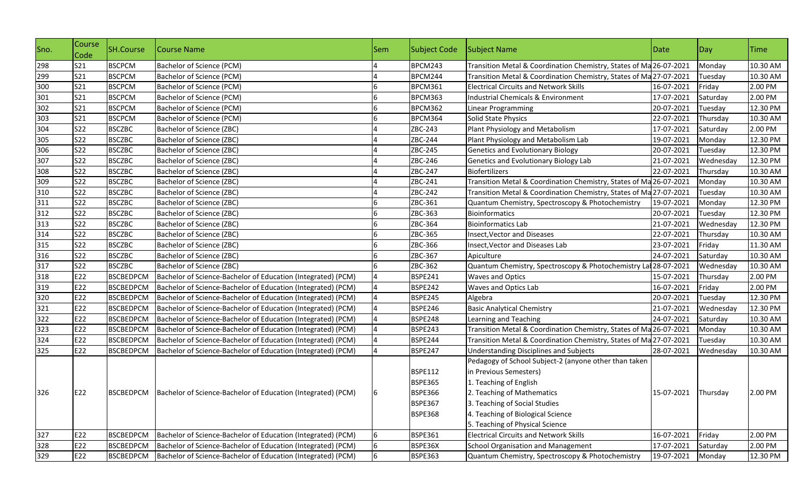| Sno.       | Course<br>Code | <b>SH.Course</b> | Course Name                                                              | <b>Sem</b> | <b>Subject Code</b> | Subject Name                                                       | Date                | $\log$    | Time     |
|------------|----------------|------------------|--------------------------------------------------------------------------|------------|---------------------|--------------------------------------------------------------------|---------------------|-----------|----------|
| 298        | S21            | <b>BSCPCM</b>    | Bachelor of Science (PCM)                                                |            | BPCM243             | Transition Metal & Coordination Chemistry, States of Ma 26-07-2021 |                     | Monday    | 10.30 AM |
|            | S21            | <b>BSCPCM</b>    | Bachelor of Science (PCM)                                                |            | BPCM244             | Transition Metal & Coordination Chemistry, States of Ma 27-07-2021 |                     | Tuesday   | 10.30 AM |
| 299<br>300 | <b>S21</b>     | <b>BSCPCM</b>    | Bachelor of Science (PCM)                                                |            | BPCM361             | <b>Electrical Circuits and Network Skills</b>                      | 16-07-2021          | Friday    | 2.00 PM  |
| 301        | S21            | <b>BSCPCM</b>    | Bachelor of Science (PCM)                                                |            | BPCM363             | Industrial Chemicals & Environment                                 | 17-07-2021          | Saturday  | 2.00 PM  |
| 302        | S21            | <b>BSCPCM</b>    | Bachelor of Science (PCM)                                                |            | BPCM362             | Linear Programming                                                 | 20-07-2021          | Tuesday   | 12.30 PM |
| 303        | S21            | <b>BSCPCM</b>    | Bachelor of Science (PCM)                                                | 6          | BPCM364             | Solid State Physics                                                | 22-07-2021          | Thursday  | 10.30 AM |
| 304        | <b>S22</b>     | <b>BSCZBC</b>    | Bachelor of Science (ZBC)                                                |            | ZBC-243             | Plant Physiology and Metabolism                                    | 17-07-2021          | Saturday  | 2.00 PM  |
| 305        | <b>S22</b>     | <b>BSCZBC</b>    | Bachelor of Science (ZBC)                                                |            | ZBC-244             | Plant Physiology and Metabolism Lab                                | 19-07-2021          | Monday    | 12.30 PM |
| 306        | <b>S22</b>     | <b>BSCZBC</b>    | Bachelor of Science (ZBC)                                                |            | ZBC-245             | <b>Genetics and Evolutionary Biology</b>                           | 20-07-2021          | Tuesday   | 12.30 PM |
| 307        | <b>S22</b>     | <b>BSCZBC</b>    | Bachelor of Science (ZBC)                                                |            | ZBC-246             | Genetics and Evolutionary Biology Lab                              | 21-07-2021          | Wednesday | 12.30 PM |
| 308        | <b>S22</b>     | <b>BSCZBC</b>    | Bachelor of Science (ZBC)                                                |            | ZBC-247             | Biofertilizers                                                     | 22-07-2021          | Thursday  | 10.30 AM |
| 309        | <b>S22</b>     | <b>BSCZBC</b>    | Bachelor of Science (ZBC)                                                |            | ZBC-241             | Transition Metal & Coordination Chemistry, States of Ma 26-07-2021 |                     | Monday    | 10.30 AM |
| 310        | <b>S22</b>     | <b>BSCZBC</b>    | Bachelor of Science (ZBC)                                                |            | ZBC-242             | Transition Metal & Coordination Chemistry, States of Ma 27-07-2021 |                     | Tuesday   | 10.30 AM |
| 311        | <b>S22</b>     | <b>BSCZBC</b>    | Bachelor of Science (ZBC)                                                |            | ZBC-361             | Quantum Chemistry, Spectroscopy & Photochemistry                   | 19-07-2021          | Monday    | 12.30 PM |
| 312        | <b>S22</b>     | <b>BSCZBC</b>    | Bachelor of Science (ZBC)                                                | 6          | ZBC-363             | <b>Bioinformatics</b>                                              | 20-07-2021          | Tuesday   | 12.30 PM |
| 313        | <b>S22</b>     | <b>BSCZBC</b>    | Bachelor of Science (ZBC)                                                | 6          | ZBC-364             | <b>Bioinformatics Lab</b>                                          | 21-07-2021          | Wednesday | 12.30 PM |
| 314        | <b>S22</b>     | <b>BSCZBC</b>    | Bachelor of Science (ZBC)                                                | 6          | ZBC-365             | <b>Insect, Vector and Diseases</b>                                 | 22-07-2021          | Thursday  | 10.30 AM |
| 315        | <b>S22</b>     | <b>BSCZBC</b>    | Bachelor of Science (ZBC)                                                |            | ZBC-366             | Insect, Vector and Diseases Lab                                    | 23-07-2021          | Friday    | 11.30 AM |
| 316        | <b>S22</b>     | <b>BSCZBC</b>    | Bachelor of Science (ZBC)                                                |            | ZBC-367             | Apiculture                                                         | 24-07-2021          | Saturday  | 10.30 AM |
| 317        | <b>S22</b>     | <b>BSCZBC</b>    | Bachelor of Science (ZBC)                                                |            | ZBC-362             | Quantum Chemistry, Spectroscopy & Photochemistry Lat 28-07-2021    |                     | Wednesday | 10.30 AM |
| 318        | E22            | <b>BSCBEDPCM</b> | Bachelor of Science-Bachelor of Education (Integrated) (PCM)             |            | <b>BSPE241</b>      | <b>Waves and Optics</b>                                            | 15-07-2021          | Thursday  | 2.00 PM  |
| 319        | E22            | <b>BSCBEDPCM</b> | Bachelor of Science-Bachelor of Education (Integrated) (PCM)             |            | BSPE242             | Waves and Optics Lab                                               | 16-07-2021          | Friday    | 2.00 PM  |
| 320        | E22            | <b>BSCBEDPCM</b> | Bachelor of Science-Bachelor of Education (Integrated) (PCM)             |            | <b>BSPE245</b>      | Algebra                                                            | 20-07-2021          | Tuesday   | 12.30 PM |
| 321        | E22            | <b>BSCBEDPCM</b> | Bachelor of Science-Bachelor of Education (Integrated) (PCM)             |            | BSPE246             | <b>Basic Analytical Chemistry</b>                                  | 21-07-2021          | Wednesday | 12.30 PM |
|            | E22            | <b>BSCBEDPCM</b> | Bachelor of Science-Bachelor of Education (Integrated) (PCM)             |            | <b>BSPE248</b>      | Learning and Teaching                                              | 24-07-2021          | Saturday  | 10.30 AM |
| 322<br>323 | E22            | <b>BSCBEDPCM</b> | Bachelor of Science-Bachelor of Education (Integrated) (PCM)             |            | <b>BSPE243</b>      | Transition Metal & Coordination Chemistry, States of Ma 26-07-2021 |                     | Monday    | 10.30 AM |
| 324        | E22            | <b>BSCBEDPCM</b> | Bachelor of Science-Bachelor of Education (Integrated) (PCM)             |            | BSPE244             | Transition Metal & Coordination Chemistry, States of Ma 27-07-2021 |                     | Tuesday   | 10.30 AM |
| 325        | E22            | <b>BSCBEDPCM</b> | Bachelor of Science-Bachelor of Education (Integrated) (PCM)             |            | <b>BSPE247</b>      | <b>Understanding Disciplines and Subjects</b>                      | 28-07-2021          | Wednesday | 10.30 AM |
|            |                |                  |                                                                          |            |                     | Pedagogy of School Subject-2 (anyone other than taken              |                     |           |          |
|            |                |                  |                                                                          |            | <b>BSPE112</b>      | in Previous Semesters)                                             |                     |           |          |
|            |                |                  |                                                                          |            | <b>BSPE365</b>      | 1. Teaching of English                                             |                     |           |          |
| 326        | E22            |                  | BSCBEDPCM   Bachelor of Science-Bachelor of Education (Integrated) (PCM) |            | <b>BSPE366</b>      | 2. Teaching of Mathematics                                         | 15-07-2021 Thursday |           | 2.00 PM  |
|            |                |                  |                                                                          |            | <b>BSPE367</b>      | 3. Teaching of Social Studies                                      |                     |           |          |
|            |                |                  |                                                                          |            | <b>BSPE368</b>      | 4. Teaching of Biological Science                                  |                     |           |          |
|            |                |                  |                                                                          |            |                     | 5. Teaching of Physical Science                                    |                     |           |          |
| 327        | E22            | <b>BSCBEDPCM</b> | Bachelor of Science-Bachelor of Education (Integrated) (PCM)             | 6          | <b>BSPE361</b>      | <b>Electrical Circuits and Network Skills</b>                      | 16-07-2021          | Friday    | 2.00 PM  |
| 328        | E22            | <b>BSCBEDPCM</b> | Bachelor of Science-Bachelor of Education (Integrated) (PCM)             | 6          | BSPE36X             | <b>School Organisation and Management</b>                          | 17-07-2021          | Saturday  | 2.00 PM  |
| 329        | E22            | <b>BSCBEDPCM</b> | Bachelor of Science-Bachelor of Education (Integrated) (PCM)             | 6          | <b>BSPE363</b>      | Quantum Chemistry, Spectroscopy & Photochemistry                   | 19-07-2021          | Monday    | 12.30 PM |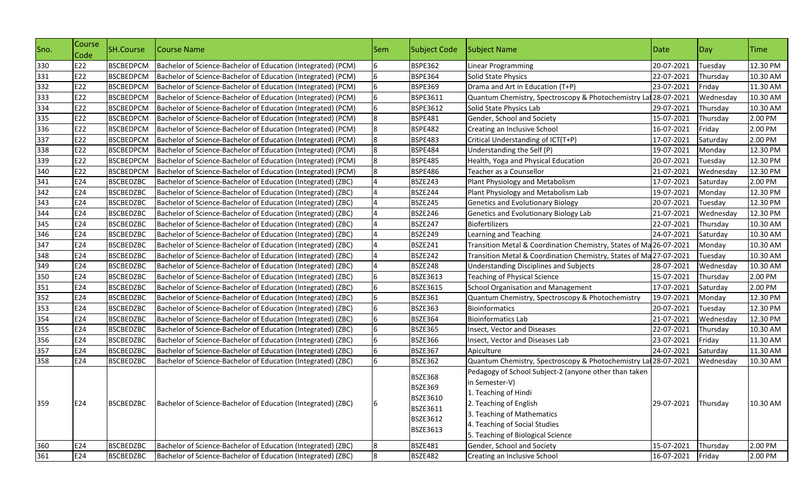| Sno. | Course<br>Code | SH.Course        | Course Name                                                  | <b>Sem</b> | <b>Subject Code</b>                                                                                          | Subject Name                                                                                                                                                                                                                  | Date       | $\log$    | <b>Time</b> |
|------|----------------|------------------|--------------------------------------------------------------|------------|--------------------------------------------------------------------------------------------------------------|-------------------------------------------------------------------------------------------------------------------------------------------------------------------------------------------------------------------------------|------------|-----------|-------------|
| 330  | E22            | <b>BSCBEDPCM</b> | Bachelor of Science-Bachelor of Education (Integrated) (PCM) | 6          | <b>BSPE362</b>                                                                                               | Linear Programming                                                                                                                                                                                                            | 20-07-2021 | Tuesday   | 12.30 PM    |
| 331  | E22            | <b>BSCBEDPCM</b> | Bachelor of Science-Bachelor of Education (Integrated) (PCM) | 6          | <b>BSPE364</b>                                                                                               | Solid State Physics                                                                                                                                                                                                           | 22-07-2021 | Thursday  | 10.30 AM    |
| 332  | E22            | <b>BSCBEDPCM</b> | Bachelor of Science-Bachelor of Education (Integrated) (PCM) | 6          | <b>BSPE369</b>                                                                                               | Drama and Art in Education (T+P)                                                                                                                                                                                              | 23-07-2021 | Friday    | 11.30 AM    |
| 333  | E22            | <b>BSCBEDPCM</b> | Bachelor of Science-Bachelor of Education (Integrated) (PCM) | 6          | BSPE3611                                                                                                     | Quantum Chemistry, Spectroscopy & Photochemistry Lat 28-07-2021                                                                                                                                                               |            | Wednesday | 10.30 AM    |
| 334  | E22            | <b>BSCBEDPCM</b> | Bachelor of Science-Bachelor of Education (Integrated) (PCM) | 6          | BSPE3612                                                                                                     | Solid State Physics Lab                                                                                                                                                                                                       | 29-07-2021 | Thursday  | 10.30 AM    |
| 335  | E22            | <b>BSCBEDPCM</b> | Bachelor of Science-Bachelor of Education (Integrated) (PCM) | 8          | <b>BSPE481</b>                                                                                               | Gender, School and Society                                                                                                                                                                                                    | 15-07-2021 | Thursday  | 2.00 PM     |
| 336  | E22            | <b>BSCBEDPCM</b> | Bachelor of Science-Bachelor of Education (Integrated) (PCM) | 8          | <b>BSPE482</b>                                                                                               | Creating an Inclusive School                                                                                                                                                                                                  | 16-07-2021 | Friday    | 2.00 PM     |
| 337  | E22            | <b>BSCBEDPCM</b> | Bachelor of Science-Bachelor of Education (Integrated) (PCM) | 8          | <b>BSPE483</b>                                                                                               | Critical Understanding of ICT(T+P)                                                                                                                                                                                            | 17-07-2021 | Saturday  | 2.00 PM     |
| 338  | E22            | <b>BSCBEDPCM</b> | Bachelor of Science-Bachelor of Education (Integrated) (PCM) | 8          | <b>BSPE484</b>                                                                                               | Understanding the Self (P)                                                                                                                                                                                                    | 19-07-2021 | Monday    | 12.30 PM    |
| 339  | E22            | <b>BSCBEDPCM</b> | Bachelor of Science-Bachelor of Education (Integrated) (PCM) | 8          | <b>BSPE485</b>                                                                                               | Health, Yoga and Physical Education                                                                                                                                                                                           | 20-07-2021 | Tuesday   | 12.30 PM    |
| 340  | E22            | <b>BSCBEDPCM</b> | Bachelor of Science-Bachelor of Education (Integrated) (PCM) | 8          | <b>BSPE486</b>                                                                                               | Teacher as a Counsellor                                                                                                                                                                                                       | 21-07-2021 | Wednesday | 12.30 PM    |
| 341  | E24            | <b>BSCBEDZBC</b> | Bachelor of Science-Bachelor of Education (Integrated) (ZBC) |            | <b>BSZE243</b>                                                                                               | Plant Physiology and Metabolism                                                                                                                                                                                               | 17-07-2021 | Saturday  | 2.00 PM     |
| 342  | E24            | <b>BSCBEDZBC</b> | Bachelor of Science-Bachelor of Education (Integrated) (ZBC) |            | <b>BSZE244</b>                                                                                               | Plant Physiology and Metabolism Lab                                                                                                                                                                                           | 19-07-2021 | Monday    | 12.30 PM    |
| 343  | E24            | <b>BSCBEDZBC</b> | Bachelor of Science-Bachelor of Education (Integrated) (ZBC) |            | BSZE245                                                                                                      | <b>Genetics and Evolutionary Biology</b>                                                                                                                                                                                      | 20-07-2021 | Tuesday   | 12.30 PM    |
| 344  | E24            | <b>BSCBEDZBC</b> | Bachelor of Science-Bachelor of Education (Integrated) (ZBC) |            | BSZE246                                                                                                      | Genetics and Evolutionary Biology Lab                                                                                                                                                                                         | 21-07-2021 | Wednesday | 12.30 PM    |
| 345  | E24            | <b>BSCBEDZBC</b> | Bachelor of Science-Bachelor of Education (Integrated) (ZBC) |            | <b>BSZE247</b>                                                                                               | Biofertilizers                                                                                                                                                                                                                | 22-07-2021 | Thursday  | 10.30 AM    |
| 346  | E24            | <b>BSCBEDZBC</b> | Bachelor of Science-Bachelor of Education (Integrated) (ZBC) |            | <b>BSZE249</b>                                                                                               | Learning and Teaching                                                                                                                                                                                                         | 24-07-2021 | Saturday  | 10.30 AM    |
| 347  | E24            | <b>BSCBEDZBC</b> | Bachelor of Science-Bachelor of Education (Integrated) (ZBC) |            | <b>BSZE241</b>                                                                                               | Transition Metal & Coordination Chemistry, States of Ma 26-07-2021                                                                                                                                                            |            | Monday    | 10.30 AM    |
| 348  | E24            | <b>BSCBEDZBC</b> | Bachelor of Science-Bachelor of Education (Integrated) (ZBC) |            | BSZE242                                                                                                      | Transition Metal & Coordination Chemistry, States of Ma 27-07-2021                                                                                                                                                            |            | Tuesday   | 10.30 AM    |
| 349  | E24            | <b>BSCBEDZBC</b> | Bachelor of Science-Bachelor of Education (Integrated) (ZBC) |            | <b>BSZE248</b>                                                                                               | Understanding Disciplines and Subjects                                                                                                                                                                                        | 28-07-2021 | Wednesday | 10.30 AM    |
| 350  | E24            | <b>BSCBEDZBC</b> | Bachelor of Science-Bachelor of Education (Integrated) (ZBC) | 6          | BSZE3613                                                                                                     | <b>Teaching of Physical Science</b>                                                                                                                                                                                           | 15-07-2021 | Thursday  | 2.00 PM     |
| 351  | E24            | <b>BSCBEDZBC</b> | Bachelor of Science-Bachelor of Education (Integrated) (ZBC) | 6          | BSZE3615                                                                                                     | <b>School Organisation and Management</b>                                                                                                                                                                                     | 17-07-2021 | Saturday  | 2.00 PM     |
| 352  | E24            | <b>BSCBEDZBC</b> | Bachelor of Science-Bachelor of Education (Integrated) (ZBC) | 6          | <b>BSZE361</b>                                                                                               | Quantum Chemistry, Spectroscopy & Photochemistry                                                                                                                                                                              | 19-07-2021 | Monday    | 12.30 PM    |
| 353  | E24            | <b>BSCBEDZBC</b> | Bachelor of Science-Bachelor of Education (Integrated) (ZBC) | 6          | <b>BSZE363</b>                                                                                               | Bioinformatics                                                                                                                                                                                                                | 20-07-2021 | Tuesday   | 12.30 PM    |
| 354  | E24            | <b>BSCBEDZBC</b> | Bachelor of Science-Bachelor of Education (Integrated) (ZBC) | 6          | <b>BSZE364</b>                                                                                               | <b>Bioinformatics Lab</b>                                                                                                                                                                                                     | 21-07-2021 | Wednesday | 12.30 PM    |
| 355  | E24            | <b>BSCBEDZBC</b> | Bachelor of Science-Bachelor of Education (Integrated) (ZBC) | 6          | <b>BSZE365</b>                                                                                               | Insect, Vector and Diseases                                                                                                                                                                                                   | 22-07-2021 | Thursday  | 10.30 AM    |
| 356  | E24            | <b>BSCBEDZBC</b> | Bachelor of Science-Bachelor of Education (Integrated) (ZBC) | 6          | <b>BSZE366</b>                                                                                               | Insect, Vector and Diseases Lab                                                                                                                                                                                               | 23-07-2021 | Friday    | 11.30 AM    |
| 357  | E24            | <b>BSCBEDZBC</b> | Bachelor of Science-Bachelor of Education (Integrated) (ZBC) | 6          | <b>BSZE367</b>                                                                                               | Apiculture                                                                                                                                                                                                                    | 24-07-2021 | Saturday  | 11.30 AM    |
| 358  | E24            | <b>BSCBEDZBC</b> | Bachelor of Science-Bachelor of Education (Integrated) (ZBC) | 6          | <b>BSZE362</b>                                                                                               | Quantum Chemistry, Spectroscopy & Photochemistry Lat 28-07-2021                                                                                                                                                               |            | Wednesday | 10.30 AM    |
| 359  | E24            | <b>BSCBEDZBC</b> | Bachelor of Science-Bachelor of Education (Integrated) (ZBC) | 6          | <b>BSZE368</b><br><b>BSZE369</b><br><b>BSZE3610</b><br><b>BSZE3611</b><br><b>BSZE3612</b><br><b>BSZE3613</b> | Pedagogy of School Subject-2 (anyone other than taken<br>in Semester-V)<br>1. Teaching of Hindi<br>2. Teaching of English<br>3. Teaching of Mathematics<br>4. Teaching of Social Studies<br>5. Teaching of Biological Science | 29-07-2021 | Thursday  | 10.30 AM    |
| 360  | E24            | <b>BSCBEDZBC</b> | Bachelor of Science-Bachelor of Education (Integrated) (ZBC) | 8          | <b>BSZE481</b>                                                                                               | Gender, School and Society                                                                                                                                                                                                    | 15-07-2021 | Thursday  | 2.00 PM     |
| 361  | E24            | <b>BSCBEDZBC</b> | Bachelor of Science-Bachelor of Education (Integrated) (ZBC) | 8          | <b>BSZE482</b>                                                                                               | Creating an Inclusive School                                                                                                                                                                                                  | 16-07-2021 | Friday    | 2.00 PM     |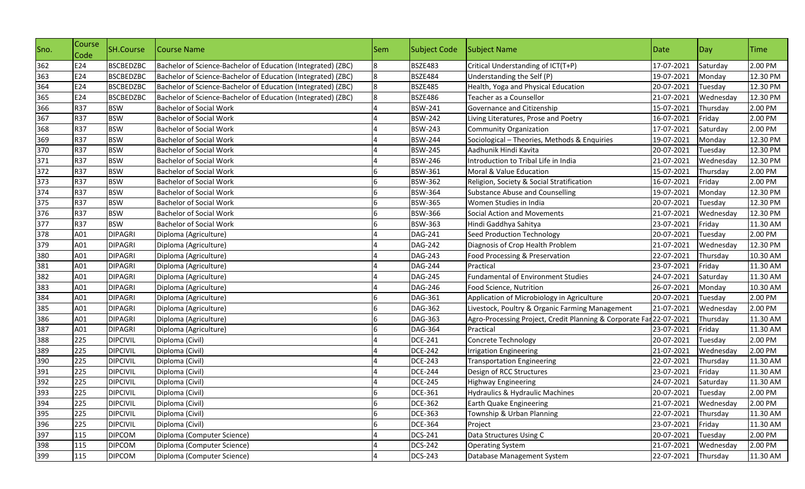| 362<br>E24<br><b>BSCBEDZBC</b><br><b>BSZE483</b><br>Critical Understanding of ICT(T+P)<br>17-07-2021<br>Saturday<br>Bachelor of Science-Bachelor of Education (Integrated) (ZBC)<br>8<br>363<br>E24<br><b>BSCBEDZBC</b><br>Bachelor of Science-Bachelor of Education (Integrated) (ZBC)<br>8<br><b>BSZE484</b><br>19-07-2021<br>Understanding the Self (P)<br>Monday | 2.00 PM<br>12.30 PM<br>12.30 PM<br>12.30 PM |
|----------------------------------------------------------------------------------------------------------------------------------------------------------------------------------------------------------------------------------------------------------------------------------------------------------------------------------------------------------------------|---------------------------------------------|
|                                                                                                                                                                                                                                                                                                                                                                      |                                             |
|                                                                                                                                                                                                                                                                                                                                                                      |                                             |
| 364<br>E24<br>8<br><b>BSCBEDZBC</b><br>Bachelor of Science-Bachelor of Education (Integrated) (ZBC)<br><b>BSZE485</b><br>Health, Yoga and Physical Education<br>20-07-2021<br>Tuesday                                                                                                                                                                                |                                             |
| 365<br>E24<br><b>BSCBEDZBC</b><br>Bachelor of Science-Bachelor of Education (Integrated) (ZBC)<br>8<br><b>BSZE486</b><br>Teacher as a Counsellor<br>21-07-2021<br>Wednesday                                                                                                                                                                                          |                                             |
| 366<br><b>R37</b><br><b>BSW</b><br><b>Bachelor of Social Work</b><br><b>BSW-241</b><br>Governance and Citizenship<br>15-07-2021<br>Thursday                                                                                                                                                                                                                          | 2.00 PM                                     |
| 367<br><b>R37</b><br><b>BSW</b><br><b>BSW-242</b><br><b>Bachelor of Social Work</b><br>16-07-2021<br>Friday<br>Living Literatures, Prose and Poetry                                                                                                                                                                                                                  | 2.00 PM                                     |
| 368<br><b>R37</b><br><b>BSW</b><br><b>BSW-243</b><br><b>Bachelor of Social Work</b><br>17-07-2021<br>Community Organization<br>Saturday                                                                                                                                                                                                                              | 2.00 PM                                     |
| 369<br><b>R37</b><br><b>BSW</b><br><b>Bachelor of Social Work</b><br><b>BSW-244</b><br>Sociological - Theories, Methods & Enquiries<br>19-07-2021<br>Monday                                                                                                                                                                                                          | 12.30 PM                                    |
| 370<br><b>R37</b><br><b>BSW</b><br><b>BSW-245</b><br>20-07-2021<br><b>Bachelor of Social Work</b><br>Aadhunik Hindi Kavita<br>Tuesday                                                                                                                                                                                                                                | 12.30 PM                                    |
| 371<br><b>R37</b><br><b>BSW</b><br>Introduction to Tribal Life in India<br><b>Bachelor of Social Work</b><br><b>BSW-246</b><br>21-07-2021<br>Wednesday                                                                                                                                                                                                               | 12.30 PM                                    |
| 372<br><b>R37</b><br><b>BSW</b><br><b>Bachelor of Social Work</b><br><b>BSW-361</b><br>15-07-2021<br>Moral & Value Education<br>Thursday                                                                                                                                                                                                                             | 2.00 PM                                     |
| 373<br><b>R37</b><br><b>BSW</b><br><b>Bachelor of Social Work</b><br>BSW-362<br>Religion, Society & Social Stratification<br>16-07-2021<br>Friday                                                                                                                                                                                                                    | 2.00 PM                                     |
| 374<br><b>R37</b><br><b>BSW</b><br><b>Bachelor of Social Work</b><br><b>BSW-364</b><br><b>Substance Abuse and Counselling</b><br>19-07-2021<br>Monday                                                                                                                                                                                                                | 12.30 PM                                    |
| 375<br><b>R37</b><br><b>BSW</b><br><b>BSW-365</b><br>Women Studies in India<br>20-07-2021<br><b>Bachelor of Social Work</b><br>Tuesday                                                                                                                                                                                                                               | 12.30 PM                                    |
| 376<br><b>R37</b><br><b>BSW</b><br><b>BSW-366</b><br><b>Bachelor of Social Work</b><br>Social Action and Movements<br>21-07-2021<br>Wednesday                                                                                                                                                                                                                        | 12.30 PM                                    |
| 377<br><b>R37</b><br><b>BSW</b><br><b>BSW-363</b><br><b>Bachelor of Social Work</b><br>Hindi Gaddhya Sahitya<br>23-07-2021<br>Friday                                                                                                                                                                                                                                 | 11.30 AM                                    |
| 378<br>A01<br><b>DIPAGRI</b><br><b>DAG-241</b><br>20-07-2021<br>Diploma (Agriculture)<br>Seed Production Technology<br>Tuesday                                                                                                                                                                                                                                       | 2.00 PM                                     |
| 379<br>A01<br><b>DIPAGRI</b><br>Diploma (Agriculture)<br><b>DAG-242</b><br>Diagnosis of Crop Health Problem<br>21-07-2021<br>Wednesday                                                                                                                                                                                                                               | 12.30 PM                                    |
| 380<br>A01<br><b>DAG-243</b><br>22-07-2021<br><b>DIPAGRI</b><br>Diploma (Agriculture)<br>Food Processing & Preservation<br>Thursday                                                                                                                                                                                                                                  | 10.30 AM                                    |
| 381<br>A01<br>Friday<br>Diploma (Agriculture)<br><b>DAG-244</b><br>Practical<br>23-07-2021<br><b>DIPAGRI</b>                                                                                                                                                                                                                                                         | 11.30 AM                                    |
| 382<br>A01<br><b>DAG-245</b><br><b>DIPAGRI</b><br>Diploma (Agriculture)<br><b>Fundamental of Environment Studies</b><br>24-07-2021<br>Saturday                                                                                                                                                                                                                       | 11.30 AM                                    |
| 383<br>A01<br><b>DAG-246</b><br>Food Science, Nutrition<br>26-07-2021<br><b>DIPAGRI</b><br>Diploma (Agriculture)<br>Monday                                                                                                                                                                                                                                           | 10.30 AM                                    |
| 384<br>A01<br><b>DIPAGRI</b><br>Diploma (Agriculture)<br>DAG-361<br>20-07-2021<br>Application of Microbiology in Agriculture<br>Tuesday                                                                                                                                                                                                                              | 2.00 PM                                     |
| 385<br>A01<br><b>DAG-362</b><br><b>DIPAGRI</b><br>Diploma (Agriculture)<br>Livestock, Poultry & Organic Farming Management<br>21-07-2021<br>Wednesday                                                                                                                                                                                                                | 2.00 PM                                     |
| 386<br>A01<br><b>DIPAGRI</b><br>Diploma (Agriculture)<br>DAG-363<br>Agro-Processing Project, Credit Planning & Corporate Far 22-07-2021<br>Thursday                                                                                                                                                                                                                  | 11.30 AM                                    |
| 387<br>A01<br>DAG-364<br>23-07-2021<br><b>DIPAGRI</b><br>Diploma (Agriculture)<br>Practical<br>Friday                                                                                                                                                                                                                                                                | 11.30 AM                                    |
| 388<br>225<br><b>DIPCIVIL</b><br>Diploma (Civil)<br><b>DCE-241</b><br>Concrete Technology<br>20-07-2021<br>Tuesday                                                                                                                                                                                                                                                   | 2.00 PM                                     |
| 389<br>225<br><b>DIPCIVIL</b><br>Diploma (Civil)<br><b>DCE-242</b><br>21-07-2021<br>Wednesday<br><b>Irrigation Engineering</b>                                                                                                                                                                                                                                       | 2.00 PM                                     |
| 390<br>225<br>22-07-2021<br><b>DIPCIVIL</b><br>Diploma (Civil)<br><b>DCE-243</b><br>Thursday<br><b>Transportation Engineering</b>                                                                                                                                                                                                                                    | 11.30 AM                                    |
| 391<br>225<br>Diploma (Civil)<br><b>DCE-244</b><br>23-07-2021<br>Friday<br><b>DIPCIVIL</b><br>Design of RCC Structures                                                                                                                                                                                                                                               | 11.30 AM                                    |
| 392<br>225<br>Diploma (Civil)<br><b>DCE-245</b><br>24-07-2021<br><b>DIPCIVIL</b><br>Highway Engineering<br>Saturday                                                                                                                                                                                                                                                  | 11.30 AM                                    |
| 393<br>225<br><b>DIPCIVIL</b><br>Diploma (Civil)<br><b>DCE-361</b><br>20-07-2021<br>Tuesday<br>Hydraulics & Hydraulic Machines                                                                                                                                                                                                                                       | 2.00 PM                                     |
| 394<br>225<br><b>DCE-362</b><br>21-07-2021<br><b>DIPCIVIL</b><br>Diploma (Civil)<br>6<br><b>Earth Quake Engineering</b><br>Wednesday                                                                                                                                                                                                                                 | 2.00 PM                                     |
| 395<br>225<br>Diploma (Civil)<br><b>DCE-363</b><br>Township & Urban Planning<br>22-07-2021<br><b>DIPCIVIL</b><br>Thursday                                                                                                                                                                                                                                            | 11.30 AM                                    |
| 396<br>225<br>Diploma (Civil)<br>23-07-2021<br>Friday<br><b>DIPCIVIL</b><br><b>DCE-364</b><br>Project                                                                                                                                                                                                                                                                | 11.30 AM                                    |
| 397<br>115<br>Diploma (Computer Science)<br>Data Structures Using C<br><b>DIPCOM</b><br><b>DCS-241</b><br>20-07-2021<br>Tuesday                                                                                                                                                                                                                                      | 2.00 PM                                     |
| 398<br>115<br><b>DIPCOM</b><br>Diploma (Computer Science)<br><b>DCS-242</b><br>21-07-2021<br><b>Operating System</b><br>Wednesday                                                                                                                                                                                                                                    | 2.00 PM                                     |
| 399<br>115<br><b>DIPCOM</b><br>Diploma (Computer Science)<br><b>DCS-243</b><br>Database Management System<br>22-07-2021<br>Thursday                                                                                                                                                                                                                                  | 11.30 AM                                    |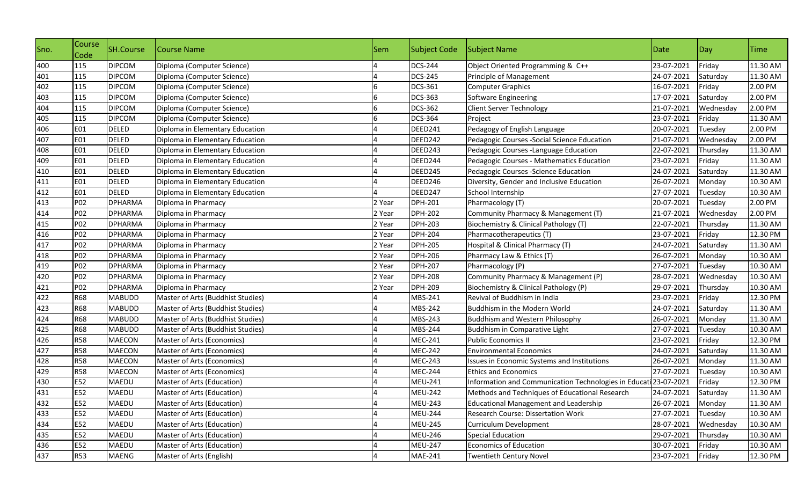| Sno. | Course<br>Code | SH.Course      | Course Name                       | Sem    | <b>Subject Code</b> | Subject Name                                                     | Date       | $\log$    | <b>Time</b> |
|------|----------------|----------------|-----------------------------------|--------|---------------------|------------------------------------------------------------------|------------|-----------|-------------|
| 400  | 115            | <b>DIPCOM</b>  | Diploma (Computer Science)        |        | <b>DCS-244</b>      | Object Oriented Programming & C++                                | 23-07-2021 | Friday    | 11.30 AM    |
| 401  | 115            | <b>DIPCOM</b>  | Diploma (Computer Science)        |        | <b>DCS-245</b>      | Principle of Management                                          | 24-07-2021 | Saturday  | 11.30 AM    |
| 402  | 115            | <b>DIPCOM</b>  | Diploma (Computer Science)        | 6      | DCS-361             | <b>Computer Graphics</b>                                         | 16-07-2021 | Friday    | 2.00 PM     |
| 403  | 115            | <b>DIPCOM</b>  | Diploma (Computer Science)        |        | DCS-363             | Software Engineering                                             | 17-07-2021 | Saturday  | 2.00 PM     |
| 404  | 115            | <b>DIPCOM</b>  | Diploma (Computer Science)        |        | DCS-362             | <b>Client Server Technology</b>                                  | 21-07-2021 | Wednesday | 2.00 PM     |
| 405  | 115            | <b>DIPCOM</b>  | Diploma (Computer Science)        | 6      | <b>DCS-364</b>      | Project                                                          | 23-07-2021 | Friday    | 11.30 AM    |
| 406  | <b>E01</b>     | <b>DELED</b>   | Diploma in Elementary Education   |        | DEED241             | Pedagogy of English Language                                     | 20-07-2021 | Tuesday   | 2.00 PM     |
| 407  | <b>E01</b>     | <b>DELED</b>   | Diploma in Elementary Education   |        | DEED242             | Pedagogic Courses - Social Science Education                     | 21-07-2021 | Wednesday | 2.00 PM     |
| 408  | <b>E01</b>     | <b>DELED</b>   | Diploma in Elementary Education   |        | DEED243             | Pedagogic Courses -Language Education                            | 22-07-2021 | Thursday  | 11.30 AM    |
| 409  | <b>E01</b>     | <b>DELED</b>   | Diploma in Elementary Education   |        | DEED244             | Pedagogic Courses - Mathematics Education                        | 23-07-2021 | Friday    | 11.30 AM    |
| 410  | E01            | <b>DELED</b>   | Diploma in Elementary Education   |        | DEED245             | Pedagogic Courses - Science Education                            | 24-07-2021 | Saturday  | 11.30 AM    |
| 411  | <b>E01</b>     | <b>DELED</b>   | Diploma in Elementary Education   |        | DEED246             | Diversity, Gender and Inclusive Education                        | 26-07-2021 | Monday    | 10.30 AM    |
| 412  | <b>E01</b>     | DELED          | Diploma in Elementary Education   |        | DEED247             | School Internship                                                | 27-07-2021 | Tuesday   | 10.30 AM    |
| 413  | P02            | <b>DPHARMA</b> | Diploma in Pharmacy               | 2 Year | DPH-201             | Pharmacology (T)                                                 | 20-07-2021 | Tuesday   | 2.00 PM     |
| 414  | P02            | <b>DPHARMA</b> | Diploma in Pharmacy               | 2 Year | <b>DPH-202</b>      | Community Pharmacy & Management (T)                              | 21-07-2021 | Wednesday | 2.00 PM     |
| 415  | P02            | <b>DPHARMA</b> | Diploma in Pharmacy               | 2 Year | DPH-203             | Biochemistry & Clinical Pathology (T)                            | 22-07-2021 | Thursday  | 11.30 AM    |
| 416  | P02            | <b>DPHARMA</b> | Diploma in Pharmacy               | 2 Year | <b>DPH-204</b>      | Pharmacotherapeutics (T)                                         | 23-07-2021 | Friday    | 12.30 PM    |
| 417  | P02            | <b>DPHARMA</b> | Diploma in Pharmacy               | 2 Year | <b>DPH-205</b>      | Hospital & Clinical Pharmacy (T)                                 | 24-07-2021 | Saturday  | 11.30 AM    |
| 418  | P02            | <b>DPHARMA</b> | Diploma in Pharmacy               | 2 Year | <b>DPH-206</b>      | Pharmacy Law & Ethics (T)                                        | 26-07-2021 | Monday    | 10.30 AM    |
| 419  | P02            | <b>DPHARMA</b> | Diploma in Pharmacy               | 2 Year | <b>DPH-207</b>      | Pharmacology (P)                                                 | 27-07-2021 | Tuesday   | 10.30 AM    |
| 420  | P02            | <b>DPHARMA</b> | Diploma in Pharmacy               | 2 Year | <b>DPH-208</b>      | Community Pharmacy & Management (P)                              | 28-07-2021 | Wednesday | 10.30 AM    |
| 421  | P02            | <b>DPHARMA</b> | Diploma in Pharmacy               | 2 Year | <b>DPH-209</b>      | Biochemistry & Clinical Pathology (P)                            | 29-07-2021 | Thursday  | 10.30 AM    |
| 422  | <b>R68</b>     | <b>MABUDD</b>  | Master of Arts (Buddhist Studies) |        | MBS-241             | Revival of Buddhism in India                                     | 23-07-2021 | Friday    | 12.30 PM    |
| 423  | <b>R68</b>     | <b>MABUDD</b>  | Master of Arts (Buddhist Studies) |        | MBS-242             | Buddhism in the Modern World                                     | 24-07-2021 | Saturday  | 11.30 AM    |
| 424  | <b>R68</b>     | <b>MABUDD</b>  | Master of Arts (Buddhist Studies) |        | MBS-243             | Buddhism and Western Philosophy                                  | 26-07-2021 | Monday    | 11.30 AM    |
| 425  | <b>R68</b>     | <b>MABUDD</b>  | Master of Arts (Buddhist Studies) |        | MBS-244             | Buddhism in Comparative Light                                    | 27-07-2021 | Tuesday   | 10.30 AM    |
| 426  | <b>R58</b>     | MAECON         | Master of Arts (Economics)        |        | MEC-241             | <b>Public Economics II</b>                                       | 23-07-2021 | Friday    | 12.30 PM    |
| 427  | <b>R58</b>     | MAECON         | Master of Arts (Economics)        |        | <b>MEC-242</b>      | <b>Environmental Economics</b>                                   | 24-07-2021 | Saturday  | 11.30 AM    |
| 428  | <b>R58</b>     | MAECON         | Master of Arts (Economics)        |        | <b>MEC-243</b>      | Issues in Economic Systems and Institutions                      | 26-07-2021 | Monday    | 11.30 AM    |
| 429  | <b>R58</b>     | <b>MAECON</b>  | Master of Arts (Economics)        |        | <b>MEC-244</b>      | <b>Ethics and Economics</b>                                      | 27-07-2021 | Tuesday   | 10.30 AM    |
| 430  | E52            | MAEDU          | Master of Arts (Education)        |        | <b>MEU-241</b>      | Information and Communication Technologies in Educati 23-07-2021 |            | Friday    | 12.30 PM    |
| 431  | E52            | <b>MAEDU</b>   | Master of Arts (Education)        |        | <b>MEU-242</b>      | Methods and Techniques of Educational Research                   | 24-07-2021 | Saturday  | 11.30 AM    |
| 432  | E52            | MAEDU          | Master of Arts (Education)        | 4      | <b>MEU-243</b>      | <b>Educational Management and Leadership</b>                     | 26-07-2021 | Monday    | 11.30 AM    |
| 433  | E52            | MAEDU          | Master of Arts (Education)        |        | <b>MEU-244</b>      | Research Course: Dissertation Work                               | 27-07-2021 | Tuesday   | 10.30 AM    |
| 434  | E52            | MAEDU          | Master of Arts (Education)        |        | <b>MEU-245</b>      | Curriculum Development                                           | 28-07-2021 | Wednesday | 10.30 AM    |
| 435  | E52            | MAEDU          | Master of Arts (Education)        |        | <b>MEU-246</b>      | <b>Special Education</b>                                         | 29-07-2021 | Thursday  | 10.30 AM    |
| 436  | E52            | MAEDU          | Master of Arts (Education)        |        | <b>MEU-247</b>      | <b>Economics of Education</b>                                    | 30-07-2021 | Friday    | 10.30 AM    |
| 437  | <b>R53</b>     | <b>MAENG</b>   | Master of Arts (English)          |        | <b>MAE-241</b>      | <b>Twentieth Century Novel</b>                                   | 23-07-2021 | Friday    | 12.30 PM    |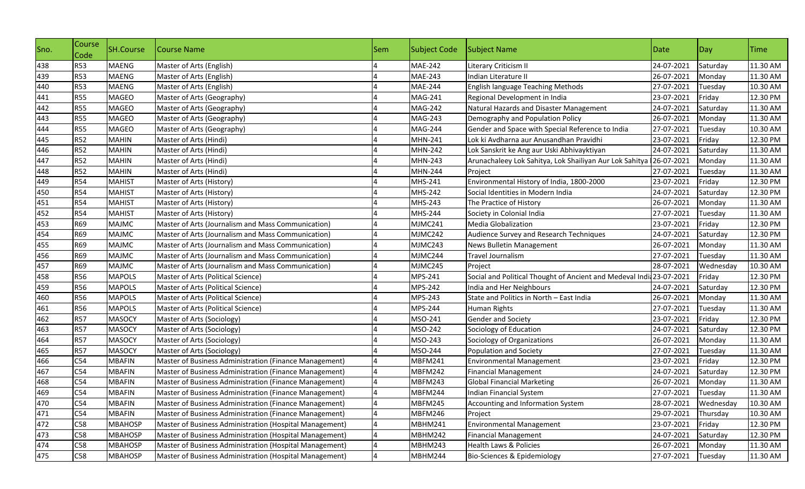| Sno. | Course<br>Code | <b>SH.Course</b> | Course Name                                             | Sem | <b>Subject Code</b> | Subject Name                                                         | Date       | Day       | <b>ITime</b> |
|------|----------------|------------------|---------------------------------------------------------|-----|---------------------|----------------------------------------------------------------------|------------|-----------|--------------|
| 438  | <b>R53</b>     | <b>MAENG</b>     | Master of Arts (English)                                |     | <b>MAE-242</b>      | Literary Criticism II                                                | 24-07-2021 | Saturday  | 11.30 AM     |
| 439  | <b>R53</b>     | <b>MAENG</b>     | Master of Arts (English)                                |     | MAE-243             | Indian Literature II                                                 | 26-07-2021 | Monday    | 11.30 AM     |
| 440  | <b>R53</b>     | <b>MAENG</b>     | Master of Arts (English)                                |     | <b>MAE-244</b>      | English language Teaching Methods                                    | 27-07-2021 | Tuesday   | 10.30 AM     |
| 441  | <b>R55</b>     | <b>MAGEO</b>     | Master of Arts (Geography)                              |     | MAG-241             | Regional Development in India                                        | 23-07-2021 | Friday    | 12.30 PM     |
| 442  | <b>R55</b>     | <b>MAGEO</b>     | Master of Arts (Geography)                              |     | <b>MAG-242</b>      | Natural Hazards and Disaster Management                              | 24-07-2021 | Saturday  | 11.30 AM     |
| 443  | <b>R55</b>     | <b>MAGEO</b>     | Master of Arts (Geography)                              |     | <b>MAG-243</b>      | Demography and Population Policy                                     | 26-07-2021 | Monday    | 11.30 AM     |
| 444  | <b>R55</b>     | <b>MAGEO</b>     | Master of Arts (Geography)                              |     | MAG-244             | Gender and Space with Special Reference to India                     | 27-07-2021 | Tuesday   | 10.30 AM     |
| 445  | <b>R52</b>     | <b>MAHIN</b>     | Master of Arts (Hindi)                                  |     | MHN-241             | Lok ki Avdharna aur Anusandhan Pravidhi                              | 23-07-2021 | Friday    | 12.30 PM     |
| 446  | <b>R52</b>     | <b>MAHIN</b>     | Master of Arts (Hindi)                                  |     | <b>MHN-242</b>      | Lok Sanskrit ke Ang aur Uski Abhivayktiyan                           | 24-07-2021 | Saturday  | 11.30 AM     |
| 447  | <b>R52</b>     | <b>MAHIN</b>     | Master of Arts (Hindi)                                  |     | <b>MHN-243</b>      | Arunachaleey Lok Sahitya, Lok Shailiyan Aur Lok Sahitya              | 26-07-2021 | Monday    | 11.30 AM     |
| 448  | <b>R52</b>     | <b>MAHIN</b>     | Master of Arts (Hindi)                                  |     | MHN-244             | Project                                                              | 27-07-2021 | Tuesday   | 11.30 AM     |
| 449  | <b>R54</b>     | <b>MAHIST</b>    | Master of Arts (History)                                |     | MHS-241             | Environmental History of India, 1800-2000                            | 23-07-2021 | Friday    | 12.30 PM     |
| 450  | <b>R54</b>     | <b>MAHIST</b>    | Master of Arts (History)                                |     | MHS-242             | Social Identities in Modern India                                    | 24-07-2021 | Saturday  | 12.30 PM     |
| 451  | <b>R54</b>     | <b>MAHIST</b>    | Master of Arts (History)                                |     | MHS-243             | The Practice of History                                              | 26-07-2021 | Monday    | 11.30 AM     |
| 452  | <b>R54</b>     | <b>MAHIST</b>    | Master of Arts (History)                                |     | MHS-244             | Society in Colonial India                                            | 27-07-2021 | Tuesday   | 11.30 AM     |
| 453  | <b>R69</b>     | <b>MAJMC</b>     | Master of Arts (Journalism and Mass Communication)      |     | MJMC241             | <b>Media Globalization</b>                                           | 23-07-2021 | Friday    | 12.30 PM     |
| 454  | R69            | <b>MAJMC</b>     | Master of Arts (Journalism and Mass Communication)      |     | MJMC242             | Audience Survey and Research Techniques                              | 24-07-2021 | Saturday  | 12.30 PM     |
| 455  | R69            | <b>MAJMC</b>     | Master of Arts (Journalism and Mass Communication)      |     | MJMC243             | News Bulletin Management                                             | 26-07-2021 | Monday    | 11.30 AM     |
| 456  | R69            | <b>MAJMC</b>     | Master of Arts (Journalism and Mass Communication)      |     | MJMC244             | <b>Travel Journalism</b>                                             | 27-07-2021 | Tuesday   | 11.30 AM     |
| 457  | R69            | <b>MAJMC</b>     | Master of Arts (Journalism and Mass Communication)      |     | MJMC245             | Project                                                              | 28-07-2021 | Wednesday | 10.30 AM     |
| 458  | <b>R56</b>     | <b>MAPOLS</b>    | Master of Arts (Political Science)                      |     | MPS-241             | Social and Political Thought of Ancient and Medeval India 23-07-2021 |            | Friday    | 12.30 PM     |
| 459  | <b>R56</b>     | <b>MAPOLS</b>    | Master of Arts (Political Science)                      |     | MPS-242             | India and Her Neighbours                                             | 24-07-2021 | Saturday  | 12.30 PM     |
| 460  | <b>R56</b>     | <b>MAPOLS</b>    | Master of Arts (Political Science)                      |     | MPS-243             | State and Politics in North - East India                             | 26-07-2021 | Monday    | 11.30 AM     |
| 461  | <b>R56</b>     | <b>MAPOLS</b>    | Master of Arts (Political Science)                      |     | MPS-244             | <b>Human Rights</b>                                                  | 27-07-2021 | Tuesday   | 11.30 AM     |
| 462  | <b>R57</b>     | <b>MASOCY</b>    | Master of Arts (Sociology)                              |     | MSO-241             | Gender and Society                                                   | 23-07-2021 | Friday    | 12.30 PM     |
| 463  | <b>R57</b>     | <b>MASOCY</b>    | Master of Arts (Sociology)                              |     | MSO-242             | Sociology of Education                                               | 24-07-2021 | Saturday  | 12.30 PM     |
| 464  | <b>R57</b>     | <b>MASOCY</b>    | Master of Arts (Sociology)                              |     | MSO-243             | Sociology of Organizations                                           | 26-07-2021 | Monday    | 11.30 AM     |
| 465  | <b>R57</b>     | <b>MASOCY</b>    | Master of Arts (Sociology)                              |     | MSO-244             | Population and Society                                               | 27-07-2021 | Tuesday   | 11.30 AM     |
| 466  | C54            | <b>MBAFIN</b>    | Master of Business Administration (Finance Management)  |     | <b>MBFM241</b>      | <b>Environmental Management</b>                                      | 23-07-2021 | Friday    | 12.30 PM     |
| 467  | C54            | <b>MBAFIN</b>    | Master of Business Administration (Finance Management)  |     | MBFM242             | <b>Financial Management</b>                                          | 24-07-2021 | Saturday  | 12.30 PM     |
| 468  | C54            | <b>MBAFIN</b>    | Master of Business Administration (Finance Management)  |     | MBFM243             | <b>Global Financial Marketing</b>                                    | 26-07-2021 | Monday    | 11.30 AM     |
| 469  | C54            | <b>MBAFIN</b>    | Master of Business Administration (Finance Management)  |     | MBFM244             | Indian Financial System                                              | 27-07-2021 | Tuesday   | 11.30 AM     |
| 470  | C54            | <b>MBAFIN</b>    | Master of Business Administration (Finance Management)  | 4   | MBFM245             | Accounting and Information System                                    | 28-07-2021 | Wednesday | 10.30 AM     |
| 471  | C54            | <b>MBAFIN</b>    | Master of Business Administration (Finance Management)  |     | MBFM246             | Project                                                              | 29-07-2021 | Thursday  | 10.30 AM     |
| 472  | C58            | <b>MBAHOSP</b>   | Master of Business Administration (Hospital Management) |     | MBHM241             | <b>Environmental Management</b>                                      | 23-07-2021 | Friday    | 12.30 PM     |
| 473  | C58            | <b>MBAHOSP</b>   | Master of Business Administration (Hospital Management) |     | MBHM242             | <b>Financial Management</b>                                          | 24-07-2021 | Saturday  | 12.30 PM     |
| 474  | C58            | <b>MBAHOSP</b>   | Master of Business Administration (Hospital Management) |     | MBHM243             | Health Laws & Policies                                               | 26-07-2021 | Monday    | 11.30 AM     |
| 475  | C58            | <b>MBAHOSP</b>   | Master of Business Administration (Hospital Management) | 4   | MBHM244             | Bio-Sciences & Epidemiology                                          | 27-07-2021 | Tuesday   | 11.30 AM     |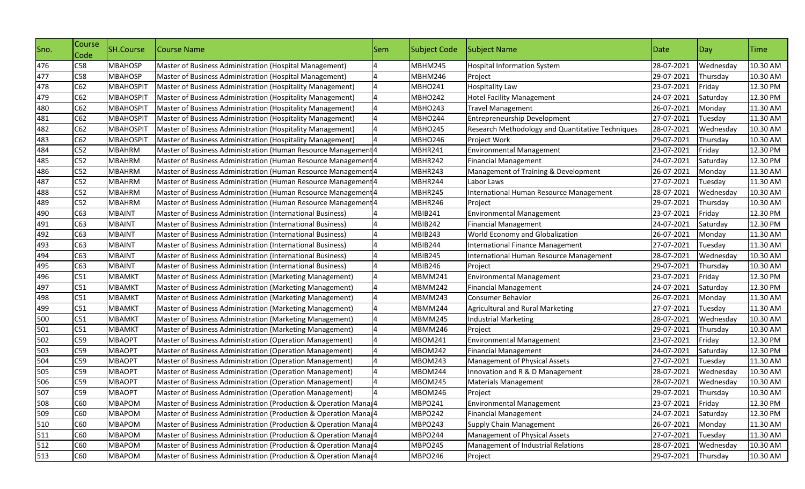| Sno. | Course<br>Code | <b>SH.Course</b> | Course Name                                                    | Sem | Subject Code   | <b>Subject Name</b>                              | Date       | Day       | <b>ITime</b> |
|------|----------------|------------------|----------------------------------------------------------------|-----|----------------|--------------------------------------------------|------------|-----------|--------------|
| 476  | C58            | <b>MBAHOSP</b>   | Master of Business Administration (Hospital Management)        |     | <b>MBHM245</b> | <b>Hospital Information System</b>               | 28-07-2021 | Wednesday | 10.30 AM     |
| 477  | C58            | <b>MBAHOSP</b>   | Master of Business Administration (Hospital Management)        |     | <b>MBHM246</b> | Project                                          | 29-07-2021 | Thursday  | 10.30 AM     |
| 478  | C62            | <b>MBAHOSPIT</b> | Master of Business Administration (Hospitality Management)     |     | <b>MBHO241</b> | Hospitality Law                                  | 23-07-2021 | Friday    | 12.30 PM     |
| 479  | C62            | <b>MBAHOSPIT</b> | Master of Business Administration (Hospitality Management)     |     | <b>MBHO242</b> | <b>Hotel Facility Management</b>                 | 24-07-2021 | Saturday  | 12.30 PM     |
| 480  | C62            | <b>MBAHOSPIT</b> | Master of Business Administration (Hospitality Management)     |     | MBHO243        | <b>Travel Management</b>                         | 26-07-2021 | Monday    | 11.30 AM     |
| 481  | C62            | <b>MBAHOSPIT</b> | Master of Business Administration (Hospitality Management)     |     | <b>MBHO244</b> | Entrepreneurship Development                     | 27-07-2021 | Tuesday   | 11.30 AM     |
| 482  | C62            | <b>MBAHOSPIT</b> | Master of Business Administration (Hospitality Management)     |     | <b>MBHO245</b> | Research Methodology and Quantitative Techniques | 28-07-2021 | Wednesday | 10.30 AM     |
| 483  | C62            | <b>MBAHOSPIT</b> | Master of Business Administration (Hospitality Management)     |     | <b>MBHO246</b> | Project Work                                     | 29-07-2021 | Thursday  | 10.30 AM     |
| 484  | C52            | <b>MBAHRM</b>    | Master of Business Administration (Human Resource Management 4 |     | MBHR241        | <b>Environmental Management</b>                  | 23-07-2021 | Friday    | 12.30 PM     |
| 485  | C52            | <b>MBAHRM</b>    | Master of Business Administration (Human Resource Management 4 |     | MBHR242        | <b>Financial Management</b>                      | 24-07-2021 | Saturday  | 12.30 PM     |
| 486  | C52            | <b>MBAHRM</b>    | Master of Business Administration (Human Resource Management 4 |     | MBHR243        | Management of Training & Development             | 26-07-2021 | Monday    | 11.30 AM     |
| 487  | C52            | <b>MBAHRM</b>    | Master of Business Administration (Human Resource Management 4 |     | MBHR244        | Labor Laws                                       | 27-07-2021 | Tuesday   | 11.30 AM     |
| 488  | C52            | <b>MBAHRM</b>    | Master of Business Administration (Human Resource Management4  |     | MBHR245        | International Human Resource Management          | 28-07-2021 | Wednesday | 10.30 AM     |
| 489  | C52            | <b>MBAHRM</b>    | Master of Business Administration (Human Resource Management4  |     | MBHR246        | Project                                          | 29-07-2021 | Thursday  | 10.30 AM     |
| 490  | C63            | <b>MBAINT</b>    | Master of Business Administration (International Business)     |     | MBIB241        | <b>Environmental Management</b>                  | 23-07-2021 | Friday    | 12.30 PM     |
| 491  | C63            | <b>MBAINT</b>    | Master of Business Administration (International Business)     |     | <b>MBIB242</b> | <b>Financial Management</b>                      | 24-07-2021 | Saturday  | 12.30 PM     |
| 492  | C63            | <b>MBAINT</b>    | Master of Business Administration (International Business)     |     | MBIB243        | World Economy and Globalization                  | 26-07-2021 | Monday    | 11.30 AM     |
| 493  | C63            | <b>MBAINT</b>    | Master of Business Administration (International Business)     |     | MBIB244        | <b>International Finance Management</b>          | 27-07-2021 | Tuesday   | 11.30 AM     |
| 494  | C63            | <b>MBAINT</b>    | Master of Business Administration (International Business)     |     | <b>MBIB245</b> | International Human Resource Management          | 28-07-2021 | Wednesday | 10.30 AM     |
| 495  | C63            | <b>MBAINT</b>    | Master of Business Administration (International Business)     |     | MBIB246        | Project                                          | 29-07-2021 | Thursday  | 10.30 AM     |
| 496  | C51            | <b>MBAMKT</b>    | Master of Business Administration (Marketing Management)       |     | MBMM241        | <b>Environmental Management</b>                  | 23-07-2021 | Friday    | 12.30 PM     |
| 497  | C51            | MBAMKT           | Master of Business Administration (Marketing Management)       |     | <b>MBMM242</b> | <b>Financial Management</b>                      | 24-07-2021 | Saturday  | 12.30 PM     |
| 498  | C51            | MBAMKT           | Master of Business Administration (Marketing Management)       |     | MBMM243        | Consumer Behavior                                | 26-07-2021 | Monday    | 11.30 AM     |
| 499  | C51            | <b>MBAMKT</b>    | Master of Business Administration (Marketing Management)       |     | MBMM244        | <b>Agricultural and Rural Marketing</b>          | 27-07-2021 | Tuesday   | 11.30 AM     |
| 500  | C51            | <b>MBAMKT</b>    | Master of Business Administration (Marketing Management)       |     | MBMM245        | <b>Industrial Marketing</b>                      | 28-07-2021 | Wednesday | 10.30 AM     |
| 501  | C51            | <b>MBAMKT</b>    | Master of Business Administration (Marketing Management)       |     | <b>MBMM246</b> | Project                                          | 29-07-2021 | Thursday  | 10.30 AM     |
| 502  | C59            | <b>MBAOPT</b>    | Master of Business Administration (Operation Management)       |     | <b>MBOM241</b> | <b>Environmental Management</b>                  | 23-07-2021 | Friday    | 12.30 PM     |
| 503  | C59            | <b>MBAOPT</b>    | Master of Business Administration (Operation Management)       |     | <b>MBOM242</b> | <b>Financial Management</b>                      | 24-07-2021 | Saturday  | 12.30 PM     |
| 504  | C59            | <b>MBAOPT</b>    | Master of Business Administration (Operation Management)       |     | <b>MBOM243</b> | Management of Physical Assets                    | 27-07-2021 | Tuesday   | 11.30 AM     |
| 505  | C59            | <b>MBAOPT</b>    | Master of Business Administration (Operation Management)       |     | <b>MBOM244</b> | Innovation and R & D Management                  | 28-07-2021 | Wednesday | 10.30 AM     |
| 506  | C59            | <b>MBAOPT</b>    | Master of Business Administration (Operation Management)       |     | <b>MBOM245</b> | Materials Management                             | 28-07-2021 | Wednesday | 10.30 AM     |
| 507  | C59            | <b>MBAOPT</b>    | Master of Business Administration (Operation Management)       |     | MBOM246        | Project                                          | 29-07-2021 | Thursday  | 10.30 AM     |
| 508  | C60            | <b>MBAPOM</b>    | Master of Business Administration (Production & Operation Mana |     | MBPO241        | <b>Environmental Management</b>                  | 23-07-2021 | Friday    | 12.30 PM     |
| 509  | C60            | <b>MBAPOM</b>    | Master of Business Administration (Production & Operation Mana |     | <b>MBPO242</b> | <b>Financial Management</b>                      | 24-07-2021 | Saturday  | 12.30 PM     |
| 510  | C60            | <b>MBAPOM</b>    | Master of Business Administration (Production & Operation Mana |     | MBPO243        | <b>Supply Chain Management</b>                   | 26-07-2021 | Monday    | 11.30 AM     |
| 511  | C60            | <b>MBAPOM</b>    | Master of Business Administration (Production & Operation Mana |     | MBPO244        | Management of Physical Assets                    | 27-07-2021 | Tuesday   | 11.30 AM     |
| 512  | C60            | <b>MBAPOM</b>    | Master of Business Administration (Production & Operation Mana |     | <b>MBPO245</b> | Management of Industrial Relations               | 28-07-2021 | Wednesday | 10.30 AM     |
| 513  | C60            | <b>MBAPOM</b>    | Master of Business Administration (Production & Operation Mana |     | <b>MBPO246</b> | Project                                          | 29-07-2021 | Thursday  | 10.30 AM     |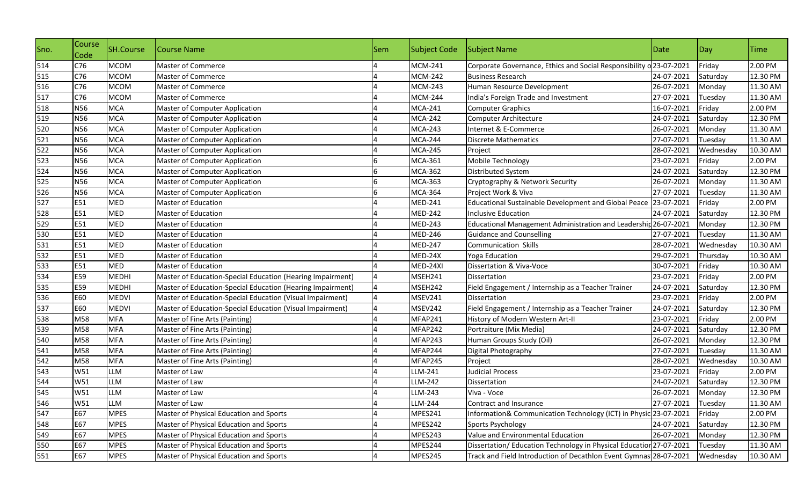| Sno.       | Course<br>Code | <b>SH.Course</b> | Course Name                                                | Sem | Subject Code   | Subject Name                                                        | Date       | $\log$    | <b>Time</b> |
|------------|----------------|------------------|------------------------------------------------------------|-----|----------------|---------------------------------------------------------------------|------------|-----------|-------------|
| 514        | C76            | <b>MCOM</b>      | Master of Commerce                                         |     | <b>MCM-241</b> | Corporate Governance, Ethics and Social Responsibility o 23-07-2021 |            | Friday    | 2.00 PM     |
| 515        | C76            | <b>MCOM</b>      | Master of Commerce                                         |     | <b>MCM-242</b> | <b>Business Research</b>                                            | 24-07-2021 | Saturday  | 12.30 PM    |
| 516        | C76            | <b>MCOM</b>      | Master of Commerce                                         |     | <b>MCM-243</b> | Human Resource Development                                          | 26-07-2021 | Monday    | 11.30 AM    |
| 517        | C76            | <b>MCOM</b>      | Master of Commerce                                         |     | <b>MCM-244</b> | India's Foreign Trade and Investment                                | 27-07-2021 | Tuesday   | 11.30 AM    |
| 518        | <b>N56</b>     | <b>MCA</b>       | <b>Master of Computer Application</b>                      |     | <b>MCA-241</b> | <b>Computer Graphics</b>                                            | 16-07-2021 | Friday    | 2.00 PM     |
| 519<br>520 | <b>N56</b>     | <b>MCA</b>       | <b>Master of Computer Application</b>                      |     | <b>MCA-242</b> | Computer Architecture                                               | 24-07-2021 | Saturday  | 12.30 PM    |
|            | <b>N56</b>     | <b>MCA</b>       | Master of Computer Application                             |     | <b>MCA-243</b> | Internet & E-Commerce                                               | 26-07-2021 | Monday    | 11.30 AM    |
| 521        | <b>N56</b>     | <b>MCA</b>       | <b>Master of Computer Application</b>                      |     | <b>MCA-244</b> | <b>Discrete Mathematics</b>                                         | 27-07-2021 | Tuesday   | 11.30 AM    |
| 522        | <b>N56</b>     | <b>MCA</b>       | <b>Master of Computer Application</b>                      |     | <b>MCA-245</b> | Project                                                             | 28-07-2021 | Wednesday | 10.30 AM    |
| 523        | <b>N56</b>     | <b>MCA</b>       | <b>Master of Computer Application</b>                      |     | <b>MCA-361</b> | Mobile Technology                                                   | 23-07-2021 | Friday    | 2.00 PM     |
| 524        | <b>N56</b>     | <b>MCA</b>       | Master of Computer Application                             |     | <b>MCA-362</b> | Distributed System                                                  | 24-07-2021 | Saturday  | 12.30 PM    |
| 525        | <b>N56</b>     | <b>MCA</b>       | Master of Computer Application                             |     | <b>MCA-363</b> | Cryptography & Network Security                                     | 26-07-2021 | Monday    | 11.30 AM    |
| 526        | <b>N56</b>     | <b>MCA</b>       | <b>Master of Computer Application</b>                      |     | <b>MCA-364</b> | Project Work & Viva                                                 | 27-07-2021 | Tuesday   | 11.30 AM    |
| 527        | E51            | MED              | <b>Master of Education</b>                                 |     | <b>MED-241</b> | Educational Sustainable Development and Global Peace                | 23-07-2021 | Friday    | 2.00 PM     |
| 528        | E51            | MED              | Master of Education                                        |     | <b>MED-242</b> | <b>Inclusive Education</b>                                          | 24-07-2021 | Saturday  | 12.30 PM    |
| 529        | E51            | MED              | Master of Education                                        |     | <b>MED-243</b> | Educational Management Administration and Leadership 26-07-2021     |            | Monday    | 12.30 PM    |
| 530        | E51            | <b>MED</b>       | Master of Education                                        |     | <b>MED-246</b> | <b>Guidance and Counselling</b>                                     | 27-07-2021 | Tuesday   | 11.30 AM    |
| 531        | E51            | MED              | <b>Master of Education</b>                                 |     | <b>MED-247</b> | <b>Communication Skills</b>                                         | 28-07-2021 | Wednesday | 10.30 AM    |
| 532        | E51            | MED              | Master of Education                                        |     | MED-24X        | <b>Yoga Education</b>                                               | 29-07-2021 | Thursday  | 10.30 AM    |
| 533        | E51            | MED              | <b>Master of Education</b>                                 |     | MED-24XI       | Dissertation & Viva-Voce                                            | 30-07-2021 | Friday    | 10.30 AM    |
| 534        | E59            | <b>MEDHI</b>     | Master of Education-Special Education (Hearing Impairment) |     | MSEH241        | Dissertation                                                        | 23-07-2021 | Friday    | 2.00 PM     |
| 535        | E59            | <b>MEDHI</b>     | Master of Education-Special Education (Hearing Impairment) |     | MSEH242        | Field Engagement / Internship as a Teacher Trainer                  | 24-07-2021 | Saturday  | 12.30 PM    |
| 536        | E60            | <b>MEDVI</b>     | Master of Education-Special Education (Visual Impairment)  |     | MSEV241        | Dissertation                                                        | 23-07-2021 | Friday    | 2.00 PM     |
| 537        | E60            | <b>MEDVI</b>     | Master of Education-Special Education (Visual Impairment)  |     | MSEV242        | Field Engagement / Internship as a Teacher Trainer                  | 24-07-2021 | Saturday  | 12.30 PM    |
| 538        | M58            | <b>MFA</b>       | Master of Fine Arts (Painting)                             |     | MFAP241        | History of Modern Western Art-II                                    | 23-07-2021 | Friday    | 2.00 PM     |
| 539        | M58            | <b>MFA</b>       | Master of Fine Arts (Painting)                             |     | MFAP242        | Portraiture (Mix Media)                                             | 24-07-2021 | Saturday  | 12.30 PM    |
| 540        | M58            | <b>MFA</b>       | Master of Fine Arts (Painting)                             |     | MFAP243        | Human Groups Study (Oil)                                            | 26-07-2021 | Monday    | 12.30 PM    |
| 541        | M58            | <b>MFA</b>       | Master of Fine Arts (Painting)                             |     | MFAP244        | Digital Photography                                                 | 27-07-2021 | Tuesday   | 11.30 AM    |
| 542        | M58            | <b>MFA</b>       | Master of Fine Arts (Painting)                             |     | MFAP245        | Project                                                             | 28-07-2021 | Wednesday | 10.30 AM    |
| 543        | W51            | <b>LLM</b>       | Master of Law                                              |     | LLM-241        | <b>Judicial Process</b>                                             | 23-07-2021 | Friday    | 2.00 PM     |
| 544<br>545 | W51            | LLM              | Master of Law                                              |     | LLM-242        | Dissertation                                                        | 24-07-2021 | Saturday  | 12.30 PM    |
|            | W51            | <b>LLM</b>       | Master of Law                                              |     | LLM-243        | Viva - Voce                                                         | 26-07-2021 | Monday    | 12.30 PM    |
| 546        | W51            | LLM              | Master of Law                                              |     | <b>LLM-244</b> | Contract and Insurance                                              | 27-07-2021 | Tuesday   | 11.30 AM    |
| 547        | E67            | <b>MPES</b>      | Master of Physical Education and Sports                    |     | MPES241        | Information& Communication Technology (ICT) in Physic 23-07-2021    |            | Friday    | 2.00 PM     |
| 548        | E67            | <b>MPES</b>      | Master of Physical Education and Sports                    |     | MPES242        | Sports Psychology                                                   | 24-07-2021 | Saturday  | 12.30 PM    |
| 549        | E67            | <b>MPES</b>      | Master of Physical Education and Sports                    |     | MPES243        | Value and Environmental Education                                   | 26-07-2021 | Monday    | 12.30 PM    |
| 550        | E67            | <b>MPES</b>      | Master of Physical Education and Sports                    |     | MPES244        | Dissertation/ Education Technology in Physical Education 27-07-2021 |            | Tuesday   | 11.30 AM    |
| 551        | E67            | <b>MPES</b>      | Master of Physical Education and Sports                    |     | MPES245        | Track and Field Introduction of Decathlon Event Gymnas 28-07-2021   |            | Wednesday | 10.30 AM    |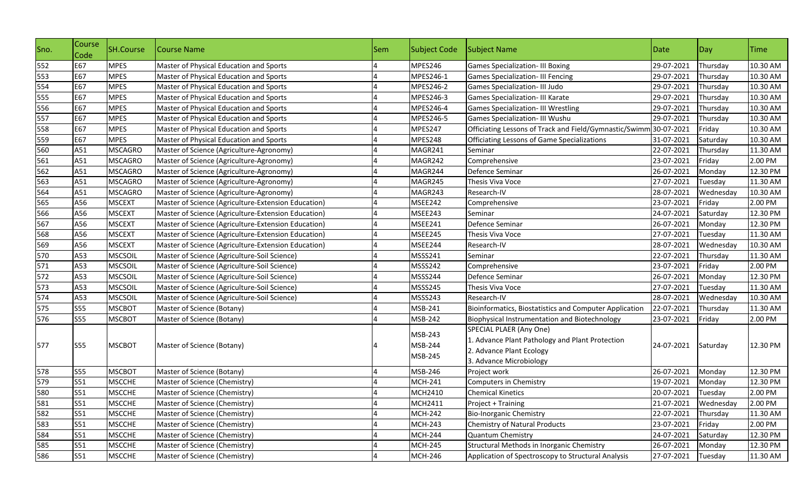| Sno. | Course<br>Code | SH.Course      | Course Name                                         | Sem | <b>Subject Code</b>           | Subject Name                                                                                                                      | Date       | Day       | <b>Time</b> |
|------|----------------|----------------|-----------------------------------------------------|-----|-------------------------------|-----------------------------------------------------------------------------------------------------------------------------------|------------|-----------|-------------|
| 552  | E67            | <b>MPES</b>    | Master of Physical Education and Sports             |     | MPES246                       | <b>Games Specialization- III Boxing</b>                                                                                           | 29-07-2021 | Thursday  | 10.30 AM    |
| 553  | E67            | <b>MPES</b>    | Master of Physical Education and Sports             |     | MPES246-1                     | <b>Games Specialization- III Fencing</b>                                                                                          | 29-07-2021 | Thursday  | 10.30 AM    |
| 554  | E67            | <b>MPES</b>    | Master of Physical Education and Sports             |     | MPES246-2                     | Games Specialization- III Judo                                                                                                    | 29-07-2021 | Thursday  | 10.30 AM    |
| 555  | E67            | <b>MPES</b>    | Master of Physical Education and Sports             |     | MPES246-3                     | Games Specialization- III Karate                                                                                                  | 29-07-2021 | Thursday  | 10.30 AM    |
| 556  | E67            | <b>MPES</b>    | Master of Physical Education and Sports             |     | MPES246-4                     | <b>Games Specialization- III Wrestling</b>                                                                                        | 29-07-2021 | Thursday  | 10.30 AM    |
| 557  | E67            | <b>MPES</b>    | Master of Physical Education and Sports             |     | MPES246-5                     | Games Specialization- III Wushu                                                                                                   | 29-07-2021 | Thursday  | 10.30 AM    |
| 558  | E67            | <b>MPES</b>    | Master of Physical Education and Sports             |     | MPES247                       | Officiating Lessons of Track and Field/Gymnastic/Swimm 30-07-2021                                                                 |            | Friday    | 10.30 AM    |
| 559  | E67            | <b>MPES</b>    | Master of Physical Education and Sports             |     | MPES248                       | Officiating Lessons of Game Specializations                                                                                       | 31-07-2021 | Saturday  | 10.30 AM    |
| 560  | A51            | <b>MSCAGRO</b> | Master of Science (Agriculture-Agronomy)            |     | MAGR241                       | Seminar                                                                                                                           | 22-07-2021 | Thursday  | 11.30 AM    |
| 561  | A51            | <b>MSCAGRO</b> | Master of Science (Agriculture-Agronomy)            |     | MAGR242                       | Comprehensive                                                                                                                     | 23-07-2021 | Friday    | 2.00 PM     |
| 562  | A51            | <b>MSCAGRO</b> | Master of Science (Agriculture-Agronomy)            |     | MAGR244                       | Defence Seminar                                                                                                                   | 26-07-2021 | Monday    | 12.30 PM    |
| 563  | A51            | <b>MSCAGRO</b> | Master of Science (Agriculture-Agronomy)            |     | MAGR245                       | Thesis Viva Voce                                                                                                                  | 27-07-2021 | Tuesday   | 11.30 AM    |
| 564  | A51            | MSCAGRO        | Master of Science (Agriculture-Agronomy)            |     | MAGR243                       | Research-IV                                                                                                                       | 28-07-2021 | Wednesday | 10.30 AM    |
| 565  | A56            | <b>MSCEXT</b>  | Master of Science (Agriculture-Extension Education) |     | MSEE242                       | Comprehensive                                                                                                                     | 23-07-2021 | Friday    | 2.00 PM     |
| 566  | A56            | <b>MSCEXT</b>  | Master of Science (Agriculture-Extension Education) |     | MSEE243                       | Seminar                                                                                                                           | 24-07-2021 | Saturday  | 12.30 PM    |
| 567  | A56            | <b>MSCEXT</b>  | Master of Science (Agriculture-Extension Education) |     | MSEE241                       | Defence Seminar                                                                                                                   | 26-07-2021 | Monday    | 12.30 PM    |
| 568  | A56            | <b>MSCEXT</b>  | Master of Science (Agriculture-Extension Education) |     | MSEE245                       | Thesis Viva Voce                                                                                                                  | 27-07-2021 | Tuesday   | 11.30 AM    |
| 569  | A56            | <b>MSCEXT</b>  | Master of Science (Agriculture-Extension Education) |     | MSEE244                       | Research-IV                                                                                                                       | 28-07-2021 | Wednesday | 10.30 AM    |
| 570  | A53            | <b>MSCSOIL</b> | Master of Science (Agriculture-Soil Science)        |     | MSSS241                       | Seminar                                                                                                                           | 22-07-2021 | Thursday  | 11.30 AM    |
| 571  | A53            | <b>MSCSOIL</b> | Master of Science (Agriculture-Soil Science)        |     | MSSS242                       | Comprehensive                                                                                                                     | 23-07-2021 | Friday    | 2.00 PM     |
| 572  | A53            | <b>MSCSOIL</b> | Master of Science (Agriculture-Soil Science)        |     | MSSS244                       | Defence Seminar                                                                                                                   | 26-07-2021 | Monday    | 12.30 PM    |
| 573  | A53            | <b>MSCSOIL</b> | Master of Science (Agriculture-Soil Science)        |     | MSSS245                       | Thesis Viva Voce                                                                                                                  | 27-07-2021 | Tuesday   | 11.30 AM    |
| 574  | A53            | <b>MSCSOIL</b> | Master of Science (Agriculture-Soil Science)        |     | MSSS243                       | Research-IV                                                                                                                       | 28-07-2021 | Wednesday | 10.30 AM    |
| 575  | <b>S55</b>     | <b>MSCBOT</b>  | Master of Science (Botany)                          |     | MSB-241                       | Bioinformatics, Biostatistics and Computer Application                                                                            | 22-07-2021 | Thursday  | 11.30 AM    |
| 576  | <b>S55</b>     | <b>MSCBOT</b>  | Master of Science (Botany)                          |     | MSB-242                       | Biophysical Instrumentation and Biotechnology                                                                                     | 23-07-2021 | Friday    | 2.00 PM     |
| 577  | <b>S55</b>     | <b>MSCBOT</b>  | Master of Science (Botany)                          |     | MSB-243<br>MSB-244<br>MSB-245 | SPECIAL PLAER (Any One)<br>1. Advance Plant Pathology and Plant Protection<br>2. Advance Plant Ecology<br>3. Advance Microbiology | 24-07-2021 | Saturday  | 12.30 PM    |
| 578  | <b>S55</b>     | <b>MSCBOT</b>  | Master of Science (Botany)                          |     | MSB-246                       | Project work                                                                                                                      | 26-07-2021 | Monday    | 12.30 PM    |
| 579  | <b>S51</b>     | <b>MSCCHE</b>  | Master of Science (Chemistry)                       |     | <b>MCH-241</b>                | Computers in Chemistry                                                                                                            | 19-07-2021 | Monday    | 12.30 PM    |
| 580  | S51            | <b>MSCCHE</b>  | Master of Science (Chemistry)                       |     | MCH2410                       | <b>Chemical Kinetics</b>                                                                                                          | 20-07-2021 | Tuesday   | 2.00 PM     |
| 581  | <b>S51</b>     | <b>MSCCHE</b>  | Master of Science (Chemistry)                       | 4   | MCH2411                       | Project + Training                                                                                                                | 21-07-2021 | Wednesday | 2.00 PM     |
| 582  | <b>S51</b>     | <b>MSCCHE</b>  | Master of Science (Chemistry)                       |     | <b>MCH-242</b>                | <b>Bio-Inorganic Chemistry</b>                                                                                                    | 22-07-2021 | Thursday  | 11.30 AM    |
| 583  | <b>S51</b>     | <b>MSCCHE</b>  | Master of Science (Chemistry)                       |     | <b>MCH-243</b>                | Chemistry of Natural Products                                                                                                     | 23-07-2021 | Friday    | 2.00 PM     |
| 584  | <b>S51</b>     | <b>MSCCHE</b>  | Master of Science (Chemistry)                       |     | <b>MCH-244</b>                | Quantum Chemistry                                                                                                                 | 24-07-2021 | Saturday  | 12.30 PM    |
| 585  | S51            | <b>MSCCHE</b>  | Master of Science (Chemistry)                       |     | <b>MCH-245</b>                | Structural Methods in Inorganic Chemistry                                                                                         | 26-07-2021 | Monday    | 12.30 PM    |
| 586  | S51            | <b>MSCCHE</b>  | Master of Science (Chemistry)                       |     | <b>MCH-246</b>                | Application of Spectroscopy to Structural Analysis                                                                                | 27-07-2021 | Tuesday   | 11.30 AM    |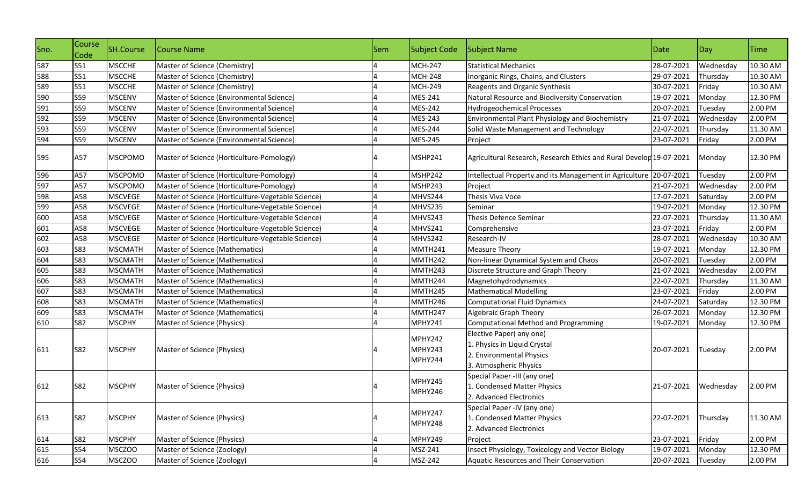| Sno.              | Course<br>Code | SH.Course      | Course Name                                        | Sem | Subject Code                  | Subject Name                                                                                                  | Date       | $\vert$ Day | <b>Time</b> |
|-------------------|----------------|----------------|----------------------------------------------------|-----|-------------------------------|---------------------------------------------------------------------------------------------------------------|------------|-------------|-------------|
| 587               | S51            | <b>MSCCHE</b>  | Master of Science (Chemistry)                      |     | <b>MCH-247</b>                | <b>Statistical Mechanics</b>                                                                                  | 28-07-2021 | Wednesday   | 10.30 AM    |
| 588               | S51            | <b>MSCCHE</b>  | Master of Science (Chemistry)                      |     | MCH-248                       | Inorganic Rings, Chains, and Clusters                                                                         | 29-07-2021 | Thursdav    | 10.30 AM    |
| 589               | S51            | <b>MSCCHE</b>  | Master of Science (Chemistry)                      |     | <b>MCH-249</b>                | Reagents and Organic Synthesis                                                                                | 30-07-2021 | Friday      | 10.30 AM    |
| 590               | <b>S59</b>     | <b>MSCENV</b>  | Master of Science (Environmental Science)          |     | MES-241                       | Natural Resource and Biodiversity Conservation                                                                | 19-07-2021 | Monday      | 12.30 PM    |
| 591               | <b>S59</b>     | <b>MSCENV</b>  | Master of Science (Environmental Science)          |     | <b>MES-242</b>                | <b>Hydrogeochemical Processes</b>                                                                             | 20-07-2021 | Tuesday     | 2.00 PM     |
| 592               | <b>S59</b>     | <b>MSCENV</b>  | Master of Science (Environmental Science)          |     | MES-243                       | Environmental Plant Physiology and Biochemistry                                                               | 21-07-2021 | Wednesday   | 2.00 PM     |
| 593               | <b>S59</b>     | <b>MSCENV</b>  | Master of Science (Environmental Science)          |     | MES-244                       | Solid Waste Management and Technology                                                                         | 22-07-2021 | Thursday    | 11.30 AM    |
| 594               | <b>S59</b>     | <b>MSCENV</b>  | Master of Science (Environmental Science)          |     | MES-245                       | Project                                                                                                       | 23-07-2021 | Friday      | 2.00 PM     |
| 595               | A57            | <b>MSCPOMO</b> | Master of Science (Horticulture-Pomology)          |     | <b>MSHP241</b>                | Agricultural Research, Research Ethics and Rural Develop 19-07-2021                                           |            | Monday      | 12.30 PM    |
| 596               | A57            | <b>MSCPOMO</b> | Master of Science (Horticulture-Pomology)          |     | MSHP242                       | Intellectual Property and its Management in Agriculture 20-07-2021                                            |            | Tuesday     | 2.00 PM     |
| 597               | A57            | <b>MSCPOMO</b> | Master of Science (Horticulture-Pomology)          |     | MSHP243                       | Project                                                                                                       | 21-07-2021 | Wednesday   | 2.00 PM     |
| 598               | A58            | <b>MSCVEGE</b> | Master of Science (Horticulture-Vegetable Science) |     | MHVS244                       | Thesis Viva Voce                                                                                              | 17-07-2021 | Saturday    | 2.00 PM     |
| 599               | A58            | <b>MSCVEGE</b> | Master of Science (Horticulture-Vegetable Science) |     | MHVS235                       | Seminar                                                                                                       | 19-07-2021 | Monday      | 12.30 PM    |
| 600               | A58            | <b>MSCVEGE</b> | Master of Science (Horticulture-Vegetable Science) |     | MHVS243                       | <b>Thesis Defence Seminar</b>                                                                                 | 22-07-2021 | Thursday    | 11.30 AM    |
| 601               | A58            | <b>MSCVEGE</b> | Master of Science (Horticulture-Vegetable Science) |     | MHVS241                       | Comprehensive                                                                                                 | 23-07-2021 | Friday      | 2.00 PM     |
| 602               | A58            | <b>MSCVEGE</b> | Master of Science (Horticulture-Vegetable Science) |     | MHVS242                       | Research-IV                                                                                                   | 28-07-2021 | Wednesday   | 10.30 AM    |
| 603               | <b>S83</b>     | MSCMATH        | Master of Science (Mathematics)                    |     | MMTH241                       | <b>Measure Theory</b>                                                                                         | 19-07-2021 | Monday      | 12.30 PM    |
| 604               | <b>S83</b>     | <b>MSCMATH</b> | Master of Science (Mathematics)                    |     | MMTH242                       | Non-linear Dynamical System and Chaos                                                                         | 20-07-2021 | Tuesday     | 2.00 PM     |
| 605               | <b>S83</b>     | <b>MSCMATH</b> | Master of Science (Mathematics)                    |     | MMTH243                       | Discrete Structure and Graph Theory                                                                           | 21-07-2021 | Wednesday   | 2.00 PM     |
| 606               | <b>S83</b>     | <b>MSCMATH</b> | Master of Science (Mathematics)                    |     | MMTH244                       | Magnetohydrodynamics                                                                                          | 22-07-2021 | Thursday    | 11.30 AM    |
| 607               | <b>S83</b>     | <b>MSCMATH</b> | Master of Science (Mathematics)                    |     | MMTH245                       | <b>Mathematical Modelling</b>                                                                                 | 23-07-2021 | Friday      | 2.00 PM     |
| 608               | <b>S83</b>     | <b>MSCMATH</b> | Master of Science (Mathematics)                    |     | MMTH246                       | <b>Computational Fluid Dynamics</b>                                                                           | 24-07-2021 | Saturday    | 12.30 PM    |
| 609               | <b>S83</b>     | <b>MSCMATH</b> | Master of Science (Mathematics)                    |     | MMTH247                       | <b>Algebraic Graph Theory</b>                                                                                 | 26-07-2021 | Monday      | 12.30 PM    |
| 610               | <b>S82</b>     | <b>MSCPHY</b>  | Master of Science (Physics)                        |     | MPHY241                       | Computational Method and Programming                                                                          | 19-07-2021 | Monday      | 12.30 PM    |
| 611               | <b>S82</b>     | <b>MSCPHY</b>  | Master of Science (Physics)                        |     | MPHY242<br>MPHY243<br>MPHY244 | Elective Paper(any one)<br>1. Physics in Liquid Crystal<br>2. Environmental Physics<br>3. Atmospheric Physics | 20-07-2021 | Tuesday     | 2.00 PM     |
| 612               | S82            | <b>MSCPHY</b>  | Master of Science (Physics)                        |     | <b>MPHY245</b><br>MPHY246     | Special Paper -III (any one)<br>1. Condensed Matter Physics<br>2. Advanced Electronics                        | 21-07-2021 | Wednesday   | 2.00 PM     |
| 613               | <b>S82</b>     | <b>MSCPHY</b>  | Master of Science (Physics)                        | 4   | <b>MPHY247</b><br>MPHY248     | Special Paper -IV (any one)<br>1. Condensed Matter Physics<br>2. Advanced Electronics                         | 22-07-2021 | Thursday    | 11.30 AM    |
| $\frac{614}{615}$ | <b>S82</b>     | <b>MSCPHY</b>  | Master of Science (Physics)                        | 4   | MPHY249                       | Project                                                                                                       | 23-07-2021 | Friday      | 2.00 PM     |
|                   | <b>S54</b>     | <b>MSCZOO</b>  | Master of Science (Zoology)                        |     | MSZ-241                       | Insect Physiology, Toxicology and Vector Biology                                                              | 19-07-2021 | Monday      | 12.30 PM    |
| 616               | <b>S54</b>     | <b>MSCZOO</b>  | Master of Science (Zoology)                        | 4   | MSZ-242                       | Aquatic Resources and Their Conservation                                                                      | 20-07-2021 | Tuesday     | 2.00 PM     |